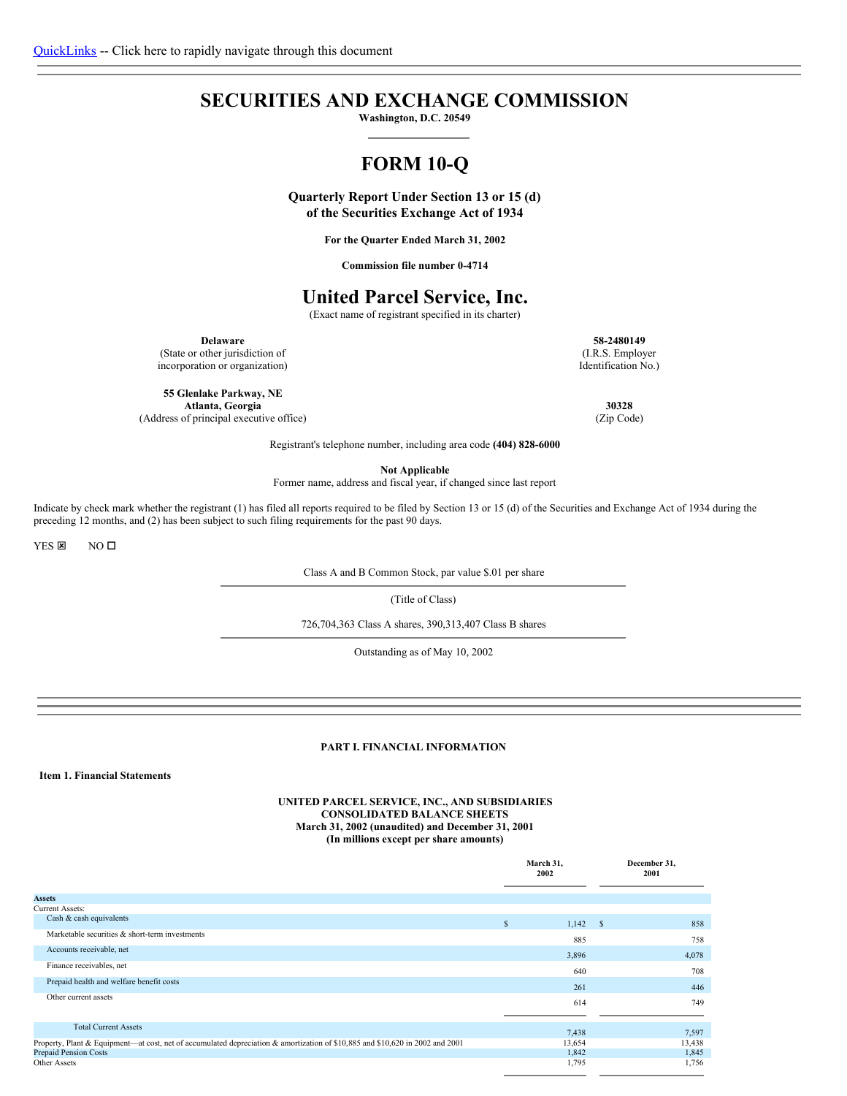# **SECURITIES AND EXCHANGE COMMISSION**

**Washington, D.C. 20549**

# **FORM 10-Q**

**Quarterly Report Under Section 13 or 15 (d) of the Securities Exchange Act of 1934**

**For the Quarter Ended March 31, 2002**

**Commission file number 0-4714**

# **United Parcel Service, Inc.**

(Exact name of registrant specified in its charter)

**Delaware**

(State or other jurisdiction of incorporation or organization)

**55 Glenlake Parkway, NE Atlanta, Georgia**

(Address of principal executive office)

**58-2480149** (I.R.S. Employer Identification No.)

> **30328** (Zip Code)

Registrant's telephone number, including area code **(404) 828-6000**

**Not Applicable**

Former name, address and fiscal year, if changed since last report

Indicate by check mark whether the registrant (1) has filed all reports required to be filed by Section 13 or 15 (d) of the Securities and Exchange Act of 1934 during the preceding 12 months, and (2) has been subject to such filing requirements for the past 90 days.

 $YES$   $NO$   $D$ 

Class A and B Common Stock, par value \$.01 per share

(Title of Class)

726,704,363 Class A shares, 390,313,407 Class B shares

Outstanding as of May 10, 2002

## <span id="page-0-0"></span>**PART I. FINANCIAL INFORMATION**

<span id="page-0-1"></span>**Item 1. Financial Statements**

## **UNITED PARCEL SERVICE, INC., AND SUBSIDIARIES CONSOLIDATED BALANCE SHEETS March 31, 2002 (unaudited) and December 31, 2001 (In millions except per share amounts)**

|                                                                                                                               |              | March 31,<br>2002 |              | December 31,<br>2001 |
|-------------------------------------------------------------------------------------------------------------------------------|--------------|-------------------|--------------|----------------------|
| <b>Assets</b>                                                                                                                 |              |                   |              |                      |
| Current Assets:                                                                                                               |              |                   |              |                      |
| Cash & cash equivalents                                                                                                       | $\mathbb{S}$ | 1,142             | $\mathbf{s}$ | 858                  |
| Marketable securities & short-term investments                                                                                |              | 885               |              | 758                  |
| Accounts receivable, net                                                                                                      |              | 3,896             |              | 4,078                |
| Finance receivables, net                                                                                                      |              | 640               |              | 708                  |
| Prepaid health and welfare benefit costs                                                                                      |              | 261               |              | 446                  |
| Other current assets                                                                                                          |              | 614               |              | 749                  |
| <b>Total Current Assets</b>                                                                                                   |              | 7,438             |              | 7,597                |
| Property, Plant & Equipment—at cost, net of accumulated depreciation & amortization of \$10,885 and \$10,620 in 2002 and 2001 |              | 13,654            |              | 13,438               |
| <b>Prepaid Pension Costs</b>                                                                                                  |              | 1,842             |              | 1,845                |
| Other Assets                                                                                                                  |              | 1,795             |              | 1,756                |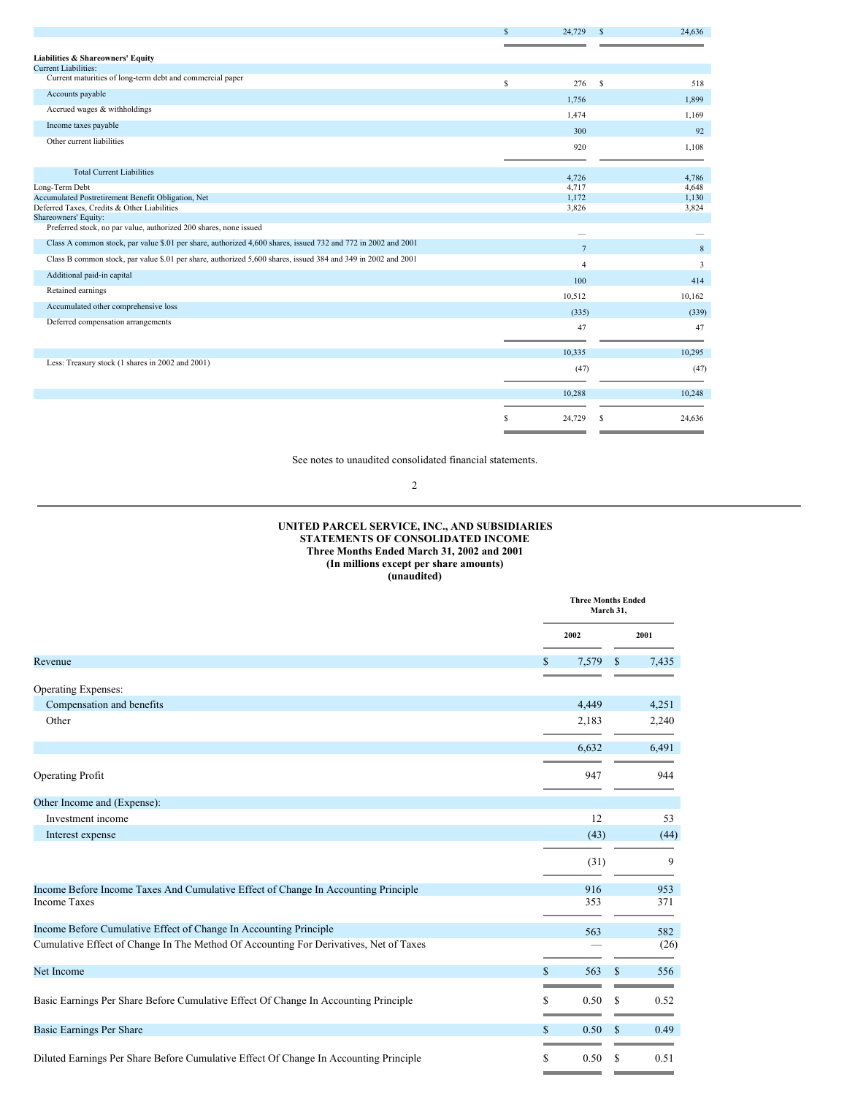|                                                                                                               | S | 24,729                   | $\mathbb{S}$ | 24,636         |
|---------------------------------------------------------------------------------------------------------------|---|--------------------------|--------------|----------------|
|                                                                                                               |   |                          |              |                |
| <b>Liabilities &amp; Shareowners' Equity</b>                                                                  |   |                          |              |                |
| <b>Current Liabilities:</b>                                                                                   |   |                          |              |                |
| Current maturities of long-term debt and commercial paper                                                     | S | 276                      | s            | 518            |
| Accounts payable                                                                                              |   | 1.756                    |              | 1.899          |
| Accrued wages & withholdings                                                                                  |   | 1,474                    |              | 1,169          |
| Income taxes payable                                                                                          |   | 300                      |              | 92             |
| Other current liabilities                                                                                     |   | 920                      |              | 1,108          |
| <b>Total Current Liabilities</b>                                                                              |   | 4.726                    |              | 4,786          |
| Long-Term Debt                                                                                                |   | 4,717                    |              | 4,648          |
| Accumulated Postretirement Benefit Obligation, Net                                                            |   | 1,172                    |              | 1,130          |
| Deferred Taxes, Credits & Other Liabilities                                                                   |   | 3,826                    |              | 3,824          |
| Shareowners' Equity:                                                                                          |   |                          |              |                |
| Preferred stock, no par value, authorized 200 shares, none issued                                             |   | $\overline{\phantom{0}}$ |              |                |
| Class A common stock, par value \$.01 per share, authorized 4,600 shares, issued 732 and 772 in 2002 and 2001 |   | 7                        |              | 8              |
| Class B common stock, par value \$.01 per share, authorized 5,600 shares, issued 384 and 349 in 2002 and 2001 |   | $\overline{4}$           |              | $\overline{3}$ |
| Additional paid-in capital                                                                                    |   | 100                      |              | 414            |
| Retained earnings                                                                                             |   | 10.512                   |              | 10,162         |
| Accumulated other comprehensive loss                                                                          |   | (335)                    |              | (339)          |
| Deferred compensation arrangements                                                                            |   | 47                       |              | 47             |
|                                                                                                               |   |                          |              |                |
|                                                                                                               |   | 10,335                   |              | 10,295         |
| Less: Treasury stock (1 shares in 2002 and 2001)                                                              |   | (47)                     |              | (47)           |
|                                                                                                               |   | 10,288                   |              | 10,248         |
|                                                                                                               | S | 24,729                   | S            | 24,636         |

See notes to unaudited consolidated financial statements.

## 2

### **UNITED PARCEL SERVICE, INC., AND SUBSIDIARIES STATEMENTS OF CONSOLIDATED INCOME Three Months Ended March 31, 2002 and 2001 (In millions except per share amounts) (unaudited)**

|                                                                                       | <b>Three Months Ended</b><br>March 31, |       |              |       |
|---------------------------------------------------------------------------------------|----------------------------------------|-------|--------------|-------|
|                                                                                       |                                        | 2002  |              | 2001  |
| Revenue                                                                               | \$                                     | 7,579 | \$           | 7,435 |
| Operating Expenses:                                                                   |                                        |       |              |       |
| Compensation and benefits                                                             |                                        | 4,449 |              | 4,251 |
| Other                                                                                 |                                        | 2,183 |              | 2,240 |
|                                                                                       |                                        | 6,632 |              | 6,491 |
| Operating Profit                                                                      |                                        | 947   |              | 944   |
| Other Income and (Expense):                                                           |                                        |       |              |       |
| Investment income                                                                     |                                        | 12    |              | 53    |
| Interest expense                                                                      |                                        | (43)  |              | (44)  |
|                                                                                       |                                        | (31)  |              | 9     |
| Income Before Income Taxes And Cumulative Effect of Change In Accounting Principle    |                                        | 916   |              | 953   |
| <b>Income Taxes</b>                                                                   |                                        | 353   |              | 371   |
| Income Before Cumulative Effect of Change In Accounting Principle                     |                                        | 563   |              | 582   |
| Cumulative Effect of Change In The Method Of Accounting For Derivatives, Net of Taxes |                                        |       |              | (26)  |
| Net Income                                                                            | \$                                     | 563   | $\mathbb{S}$ | 556   |
|                                                                                       |                                        |       |              |       |
| Basic Earnings Per Share Before Cumulative Effect Of Change In Accounting Principle   | S                                      | 0.50  | \$           | 0.52  |
| <b>Basic Earnings Per Share</b>                                                       | \$                                     | 0.50  | \$           | 0.49  |
| Diluted Earnings Per Share Before Cumulative Effect Of Change In Accounting Principle | S                                      | 0.50  | S            | 0.51  |
|                                                                                       |                                        |       |              |       |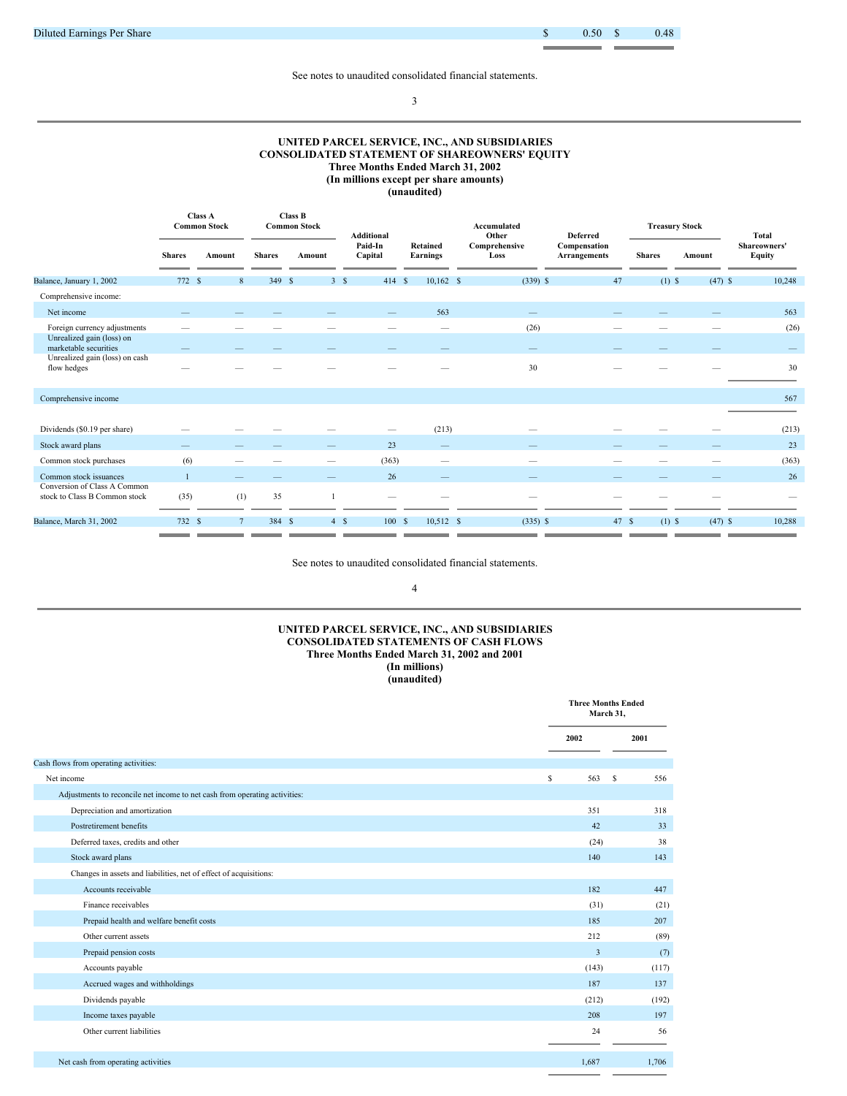Diluted Earnings Per Share **3** 0.50 \$ 0.48

See notes to unaudited consolidated financial statements.

3

### **UNITED PARCEL SERVICE, INC., AND SUBSIDIARIES CONSOLIDATED STATEMENT OF SHAREOWNERS' EQUITY Three Months Ended March 31, 2002 (In millions except per share amounts) (unaudited)**

|                                                               | <b>Class A</b><br><b>Common Stock</b> |                | <b>Class B</b><br><b>Common Stock</b> |        | <b>Additional</b>  |                                 | Accumulated<br>Other  | <b>Deferred</b>                     | <b>Treasury Stock</b> |                       | <b>Total</b>           |
|---------------------------------------------------------------|---------------------------------------|----------------|---------------------------------------|--------|--------------------|---------------------------------|-----------------------|-------------------------------------|-----------------------|-----------------------|------------------------|
|                                                               | <b>Shares</b>                         | Amount         | <b>Shares</b>                         | Amount | Paid-In<br>Capital | Retained<br>Earnings            | Comprehensive<br>Loss | Compensation<br><b>Arrangements</b> | <b>Shares</b>         | Amount                | Shareowners'<br>Equity |
| Balance, January 1, 2002                                      | 772 S                                 | 8              | 349 S                                 |        | 414S<br>3S         | $10,162$ \$                     | $(339)$ \$            | 47                                  |                       | $(47)$ \$<br>$(1)$ \$ | 10,248                 |
| Comprehensive income:                                         |                                       |                |                                       |        |                    |                                 |                       |                                     |                       |                       |                        |
| Net income                                                    |                                       |                |                                       |        |                    | 563                             |                       |                                     |                       |                       | 563                    |
| Foreign currency adjustments                                  |                                       |                |                                       |        |                    |                                 | (26)                  |                                     |                       |                       | (26)                   |
| Unrealized gain (loss) on<br>marketable securities            |                                       |                |                                       |        |                    |                                 |                       |                                     |                       |                       |                        |
| Unrealized gain (loss) on cash<br>flow hedges                 |                                       |                |                                       |        |                    |                                 | 30                    |                                     |                       |                       | 30                     |
| Comprehensive income                                          |                                       |                |                                       |        |                    |                                 |                       |                                     |                       |                       | 567                    |
| Dividends (\$0.19 per share)                                  |                                       |                |                                       |        |                    | (213)                           |                       |                                     |                       |                       | (213)                  |
| Stock award plans                                             |                                       |                |                                       |        | 23                 |                                 |                       |                                     |                       |                       | 23                     |
| Common stock purchases                                        | (6)                                   |                |                                       |        | (363)              | $\overbrace{\qquad \qquad }^{}$ |                       |                                     |                       |                       | (363)                  |
| Common stock issuances                                        |                                       |                |                                       |        | 26                 |                                 |                       |                                     |                       |                       | 26                     |
| Conversion of Class A Common<br>stock to Class B Common stock | (35)                                  | (1)            | 35                                    |        |                    |                                 |                       |                                     |                       |                       |                        |
| Balance, March 31, 2002                                       | 732 S                                 | $\overline{7}$ | 384 \$                                |        | 100S<br>4S         | $10,512$ \$                     | $(335)$ \$            | 47 \$                               |                       | $(47)$ \$<br>$(1)$ \$ | 10,288                 |

See notes to unaudited consolidated financial statements.

4

## **UNITED PARCEL SERVICE, INC., AND SUBSIDIARIES CONSOLIDATED STATEMENTS OF CASH FLOWS Three Months Ended March 31, 2002 and 2001 (In millions) (unaudited)**

|                                                                            |                | <b>Three Months Ended</b><br>March 31, |
|----------------------------------------------------------------------------|----------------|----------------------------------------|
|                                                                            | 2002           | 2001                                   |
| Cash flows from operating activities:                                      |                |                                        |
| Net income                                                                 | \$<br>563      | <sup>S</sup><br>556                    |
| Adjustments to reconcile net income to net cash from operating activities: |                |                                        |
| Depreciation and amortization                                              | 351            | 318                                    |
| Postretirement benefits                                                    | 42             | 33                                     |
| Deferred taxes, credits and other                                          | (24)           | 38                                     |
| Stock award plans                                                          | 140            | 143                                    |
| Changes in assets and liabilities, net of effect of acquisitions:          |                |                                        |
| Accounts receivable                                                        | 182            | 447                                    |
| Finance receivables                                                        | (31)           | (21)                                   |
| Prepaid health and welfare benefit costs                                   | 185            | 207                                    |
| Other current assets                                                       | 212            | (89)                                   |
| Prepaid pension costs                                                      | $\overline{3}$ | (7)                                    |
| Accounts payable                                                           | (143)          | (117)                                  |
| Accrued wages and withholdings                                             | 187            | 137                                    |
| Dividends payable                                                          | (212)          | (192)                                  |
| Income taxes payable                                                       | 208            | 197                                    |
| Other current liabilities                                                  | 24             | 56                                     |
| Net cash from operating activities                                         | 1,687          | 1,706                                  |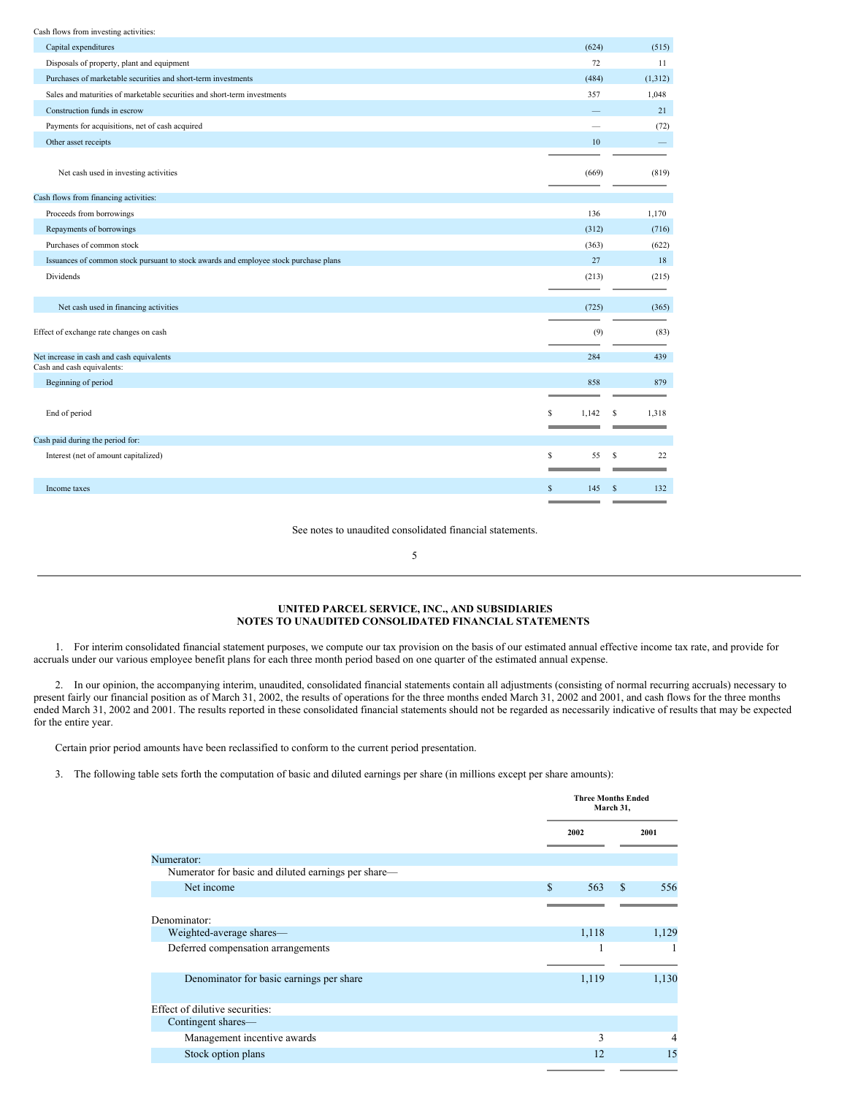| Cash flows from investing activities:                                                |            |            |
|--------------------------------------------------------------------------------------|------------|------------|
| Capital expenditures                                                                 | (624)      | (515)      |
| Disposals of property, plant and equipment                                           | 72         | 11         |
| Purchases of marketable securities and short-term investments                        | (484)      | (1, 312)   |
| Sales and maturities of marketable securities and short-term investments             | 357        | 1,048      |
| Construction funds in escrow                                                         |            | 21         |
| Payments for acquisitions, net of cash acquired                                      |            | (72)       |
| Other asset receipts                                                                 | 10         |            |
| Net cash used in investing activities                                                | (669)      | (819)      |
| Cash flows from financing activities:                                                |            |            |
| Proceeds from borrowings                                                             | 136        | 1,170      |
| Repayments of borrowings                                                             | (312)      | (716)      |
| Purchases of common stock                                                            | (363)      | (622)      |
| Issuances of common stock pursuant to stock awards and employee stock purchase plans | 27         | 18         |
| Dividends                                                                            | (213)      | (215)      |
| Net cash used in financing activities                                                | (725)      | (365)      |
| Effect of exchange rate changes on cash                                              | (9)        | (83)       |
| Net increase in cash and cash equivalents                                            | 284        | 439        |
| Cash and cash equivalents:                                                           |            |            |
| Beginning of period                                                                  | 858        | 879        |
| End of period                                                                        | S<br>1,142 | 1,318<br>S |
| Cash paid during the period for:                                                     |            |            |
| Interest (net of amount capitalized)                                                 | S<br>55    | 22<br>S    |
| Income taxes                                                                         | 145<br>\$  | 132<br>S   |
|                                                                                      |            |            |

See notes to unaudited consolidated financial statements.

# <span id="page-3-0"></span>5

## **UNITED PARCEL SERVICE, INC., AND SUBSIDIARIES NOTES TO UNAUDITED CONSOLIDATED FINANCIAL STATEMENTS**

1. For interim consolidated financial statement purposes, we compute our tax provision on the basis of our estimated annual effective income tax rate, and provide for accruals under our various employee benefit plans for each three month period based on one quarter of the estimated annual expense.

2. In our opinion, the accompanying interim, unaudited, consolidated financial statements contain all adjustments (consisting of normal recurring accruals) necessary to present fairly our financial position as of March 31, 2002, the results of operations for the three months ended March 31, 2002 and 2001, and cash flows for the three months ended March 31, 2002 and 2001. The results reported in these consolidated financial statements should not be regarded as necessarily indicative of results that may be expected for the entire year.

Certain prior period amounts have been reclassified to conform to the current period presentation.

3. The following table sets forth the computation of basic and diluted earnings per share (in millions except per share amounts):

|                                                     |                     | <b>Three Months Ended</b><br>March 31, |
|-----------------------------------------------------|---------------------|----------------------------------------|
|                                                     | 2002                | 2001                                   |
| Numerator:                                          |                     |                                        |
| Numerator for basic and diluted earnings per share— |                     |                                        |
| Net income                                          | $\mathbf{s}$<br>563 | S.<br>556                              |
|                                                     |                     |                                        |
| Denominator:                                        |                     |                                        |
| Weighted-average shares—                            | 1,118               | 1,129                                  |
| Deferred compensation arrangements                  |                     |                                        |
|                                                     |                     |                                        |
| Denominator for basic earnings per share            | 1,119               | 1,130                                  |
|                                                     |                     |                                        |
| Effect of dilutive securities:                      |                     |                                        |
| Contingent shares—                                  |                     |                                        |
| Management incentive awards                         | 3                   | 4                                      |
| Stock option plans                                  | 12                  | 15                                     |
|                                                     |                     |                                        |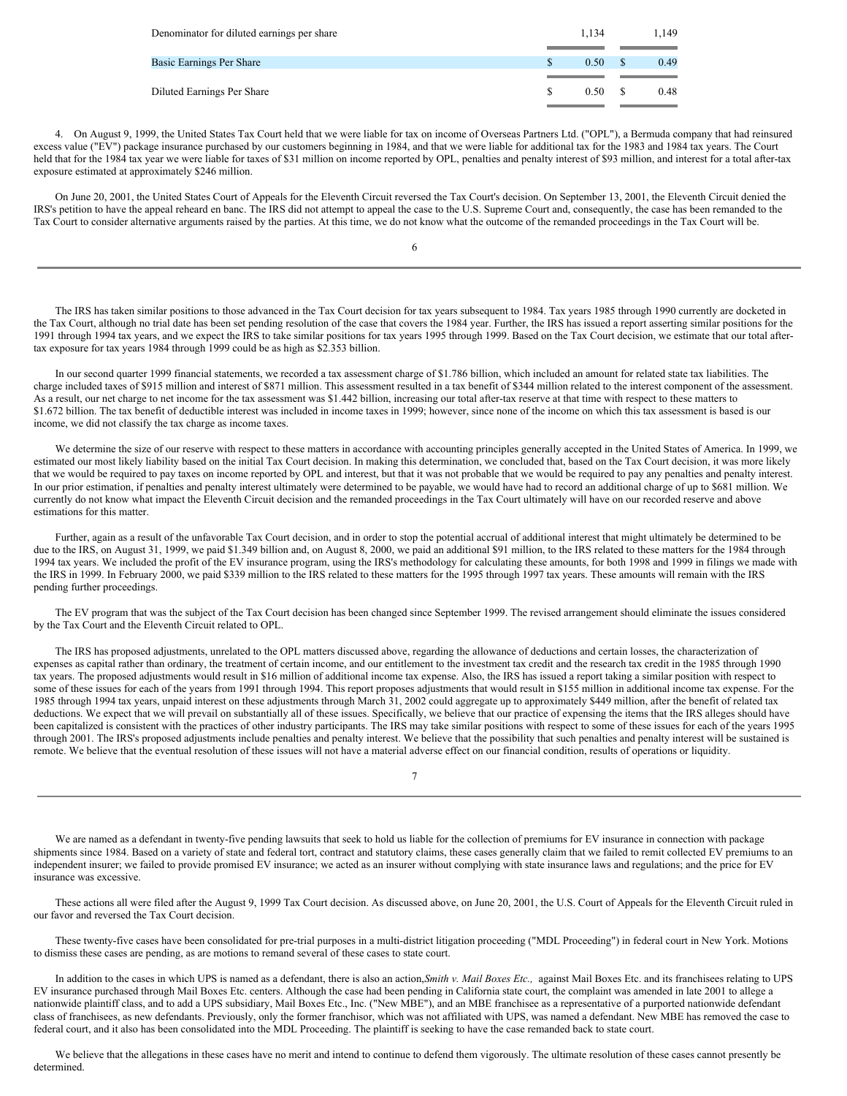| Denominator for diluted earnings per share |   | 1.134 | 1.149 |
|--------------------------------------------|---|-------|-------|
|                                            |   |       |       |
| Basic Earnings Per Share                   |   | 0.50  | 0.49  |
|                                            |   |       |       |
| Diluted Earnings Per Share                 | S | 0.50  | 0.48  |
|                                            |   |       |       |

4. On August 9, 1999, the United States Tax Court held that we were liable for tax on income of Overseas Partners Ltd. ("OPL"), a Bermuda company that had reinsured excess value ("EV") package insurance purchased by our customers beginning in 1984, and that we were liable for additional tax for the 1983 and 1984 tax years. The Court held that for the 1984 tax year we were liable for taxes of \$31 million on income reported by OPL, penalties and penalty interest of \$93 million, and interest for a total after-tax exposure estimated at approximately \$246 million.

On June 20, 2001, the United States Court of Appeals for the Eleventh Circuit reversed the Tax Court's decision. On September 13, 2001, the Eleventh Circuit denied the IRS's petition to have the appeal reheard en banc. The IRS did not attempt to appeal the case to the U.S. Supreme Court and, consequently, the case has been remanded to the Tax Court to consider alternative arguments raised by the parties. At this time, we do not know what the outcome of the remanded proceedings in the Tax Court will be.

6

The IRS has taken similar positions to those advanced in the Tax Court decision for tax years subsequent to 1984. Tax years 1985 through 1990 currently are docketed in the Tax Court, although no trial date has been set pending resolution of the case that covers the 1984 year. Further, the IRS has issued a report asserting similar positions for the 1991 through 1994 tax years, and we expect the IRS to take similar positions for tax years 1995 through 1999. Based on the Tax Court decision, we estimate that our total aftertax exposure for tax years 1984 through 1999 could be as high as \$2.353 billion.

In our second quarter 1999 financial statements, we recorded a tax assessment charge of \$1.786 billion, which included an amount for related state tax liabilities. The charge included taxes of \$915 million and interest of \$871 million. This assessment resulted in a tax benefit of \$344 million related to the interest component of the assessment. As a result, our net charge to net income for the tax assessment was \$1.442 billion, increasing our total after-tax reserve at that time with respect to these matters to \$1.672 billion. The tax benefit of deductible interest was included in income taxes in 1999; however, since none of the income on which this tax assessment is based is our income, we did not classify the tax charge as income taxes.

We determine the size of our reserve with respect to these matters in accordance with accounting principles generally accepted in the United States of America. In 1999, we estimated our most likely liability based on the initial Tax Court decision. In making this determination, we concluded that, based on the Tax Court decision, it was more likely that we would be required to pay taxes on income reported by OPL and interest, but that it was not probable that we would be required to pay any penalties and penalty interest. In our prior estimation, if penalties and penalty interest ultimately were determined to be payable, we would have had to record an additional charge of up to \$681 million. We currently do not know what impact the Eleventh Circuit decision and the remanded proceedings in the Tax Court ultimately will have on our recorded reserve and above estimations for this matter.

Further, again as a result of the unfavorable Tax Court decision, and in order to stop the potential accrual of additional interest that might ultimately be determined to be due to the IRS, on August 31, 1999, we paid \$1.349 billion and, on August 8, 2000, we paid an additional \$91 million, to the IRS related to these matters for the 1984 through 1994 tax years. We included the profit of the EV insurance program, using the IRS's methodology for calculating these amounts, for both 1998 and 1999 in filings we made with the IRS in 1999. In February 2000, we paid \$339 million to the IRS related to these matters for the 1995 through 1997 tax years. These amounts will remain with the IRS pending further proceedings.

The EV program that was the subject of the Tax Court decision has been changed since September 1999. The revised arrangement should eliminate the issues considered by the Tax Court and the Eleventh Circuit related to OPL.

The IRS has proposed adjustments, unrelated to the OPL matters discussed above, regarding the allowance of deductions and certain losses, the characterization of expenses as capital rather than ordinary, the treatment of certain income, and our entitlement to the investment tax credit and the research tax credit in the 1985 through 1990 tax years. The proposed adjustments would result in \$16 million of additional income tax expense. Also, the IRS has issued a report taking a similar position with respect to some of these issues for each of the years from 1991 through 1994. This report proposes adjustments that would result in \$155 million in additional income tax expense. For the 1985 through 1994 tax years, unpaid interest on these adjustments through March 31, 2002 could aggregate up to approximately \$449 million, after the benefit of related tax deductions. We expect that we will prevail on substantially all of these issues. Specifically, we believe that our practice of expensing the items that the IRS alleges should have been capitalized is consistent with the practices of other industry participants. The IRS may take similar positions with respect to some of these issues for each of the years 1995 through 2001. The IRS's proposed adjustments include penalties and penalty interest. We believe that the possibility that such penalties and penalty interest will be sustained is remote. We believe that the eventual resolution of these issues will not have a material adverse effect on our financial condition, results of operations or liquidity.

| ۰. |  |
|----|--|
| I  |  |

We are named as a defendant in twenty-five pending lawsuits that seek to hold us liable for the collection of premiums for EV insurance in connection with package shipments since 1984. Based on a variety of state and federal tort, contract and statutory claims, these cases generally claim that we failed to remit collected EV premiums to an independent insurer; we failed to provide promised EV insurance; we acted as an insurer without complying with state insurance laws and regulations; and the price for EV insurance was excessive.

These actions all were filed after the August 9, 1999 Tax Court decision. As discussed above, on June 20, 2001, the U.S. Court of Appeals for the Eleventh Circuit ruled in our favor and reversed the Tax Court decision.

These twenty-five cases have been consolidated for pre-trial purposes in a multi-district litigation proceeding ("MDL Proceeding") in federal court in New York. Motions to dismiss these cases are pending, as are motions to remand several of these cases to state court.

In addition to the cases in which UPS is named as a defendant, there is also an action,*Smith v. Mail Boxes Etc.,* against Mail Boxes Etc. and its franchisees relating to UPS EV insurance purchased through Mail Boxes Etc. centers. Although the case had been pending in California state court, the complaint was amended in late 2001 to allege a nationwide plaintiff class, and to add a UPS subsidiary, Mail Boxes Etc., Inc. ("New MBE"), and an MBE franchisee as a representative of a purported nationwide defendant class of franchisees, as new defendants. Previously, only the former franchisor, which was not affiliated with UPS, was named a defendant. New MBE has removed the case to federal court, and it also has been consolidated into the MDL Proceeding. The plaintiff is seeking to have the case remanded back to state court.

We believe that the allegations in these cases have no merit and intend to continue to defend them vigorously. The ultimate resolution of these cases cannot presently be determined.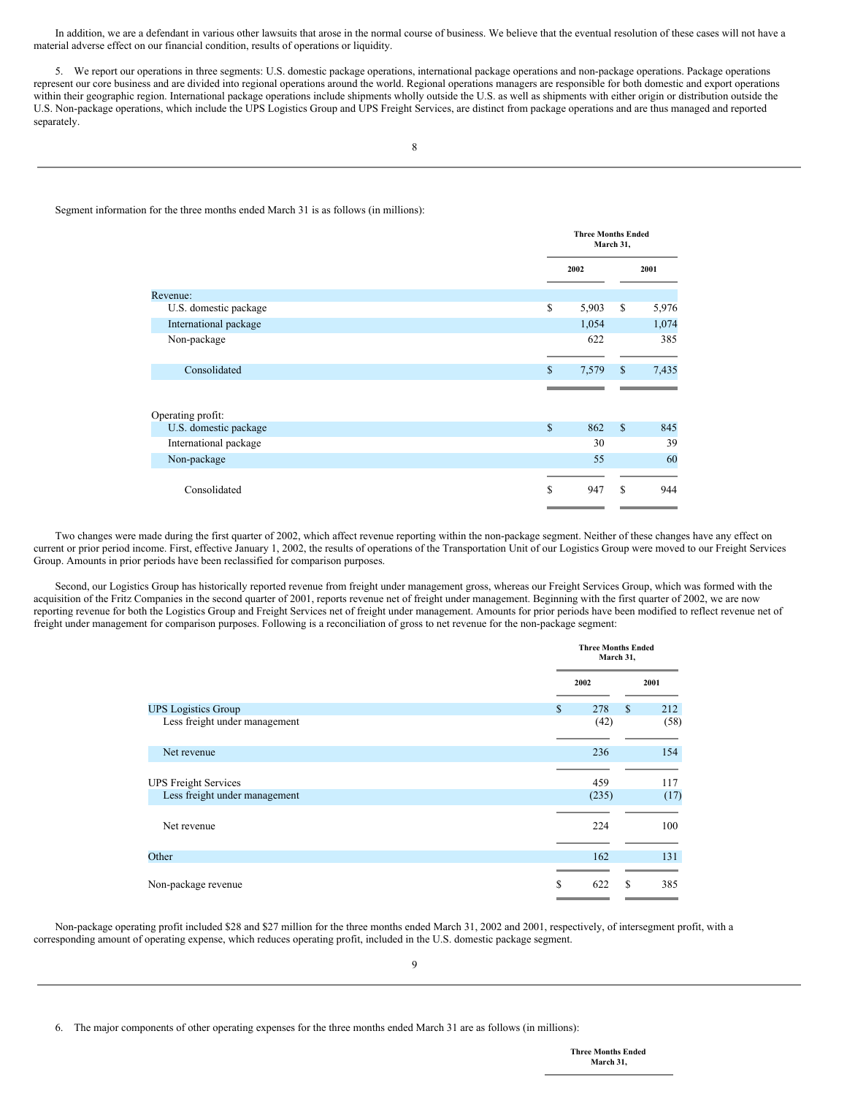In addition, we are a defendant in various other lawsuits that arose in the normal course of business. We believe that the eventual resolution of these cases will not have a material adverse effect on our financial condition, results of operations or liquidity.

5. We report our operations in three segments: U.S. domestic package operations, international package operations and non-package operations. Package operations represent our core business and are divided into regional operations around the world. Regional operations managers are responsible for both domestic and export operations within their geographic region. International package operations include shipments wholly outside the U.S. as well as shipments with either origin or distribution outside the U.S. Non-package operations, which include the UPS Logistics Group and UPS Freight Services, are distinct from package operations and are thus managed and reported separately.

Segment information for the three months ended March 31 is as follows (in millions):

|              | <b>Three Months Ended</b><br>March 31, |              |       |
|--------------|----------------------------------------|--------------|-------|
|              | 2002                                   |              | 2001  |
|              |                                        |              |       |
| \$           | 5,903                                  | \$           | 5,976 |
|              | 1,054                                  |              | 1,074 |
|              | 622                                    |              | 385   |
| $\mathbb{S}$ | 7,579                                  | $\mathbb{S}$ | 7,435 |
|              |                                        |              |       |
|              |                                        |              |       |
| S            | 862                                    | $\mathbf S$  | 845   |
|              | 30                                     |              | 39    |
|              | 55                                     |              | 60    |
| \$           | 947                                    | S            | 944   |
|              |                                        |              |       |

Two changes were made during the first quarter of 2002, which affect revenue reporting within the non-package segment. Neither of these changes have any effect on current or prior period income. First, effective January 1, 2002, the results of operations of the Transportation Unit of our Logistics Group were moved to our Freight Services Group. Amounts in prior periods have been reclassified for comparison purposes.

Second, our Logistics Group has historically reported revenue from freight under management gross, whereas our Freight Services Group, which was formed with the acquisition of the Fritz Companies in the second quarter of 2001, reports revenue net of freight under management. Beginning with the first quarter of 2002, we are now reporting revenue for both the Logistics Group and Freight Services net of freight under management. Amounts for prior periods have been modified to reflect revenue net of freight under management for comparison purposes. Following is a reconciliation of gross to net revenue for the non-package segment:

|                                                              |                   | <b>Three Months Ended</b><br>March 31, |
|--------------------------------------------------------------|-------------------|----------------------------------------|
|                                                              | 2002              | 2001                                   |
| <b>UPS</b> Logistics Group<br>Less freight under management  | \$<br>278<br>(42) | $\mathbb{S}$<br>212<br>(58)            |
| Net revenue                                                  | 236               | 154                                    |
| <b>UPS Freight Services</b><br>Less freight under management | 459<br>(235)      | 117<br>(17)                            |
| Net revenue                                                  | 224               | 100                                    |
| Other                                                        | 162               | 131                                    |
| Non-package revenue                                          | \$<br>622         | 385<br>S                               |

Non-package operating profit included \$28 and \$27 million for the three months ended March 31, 2002 and 2001, respectively, of intersegment profit, with a corresponding amount of operating expense, which reduces operating profit, included in the U.S. domestic package segment.

6. The major components of other operating expenses for the three months ended March 31 are as follows (in millions):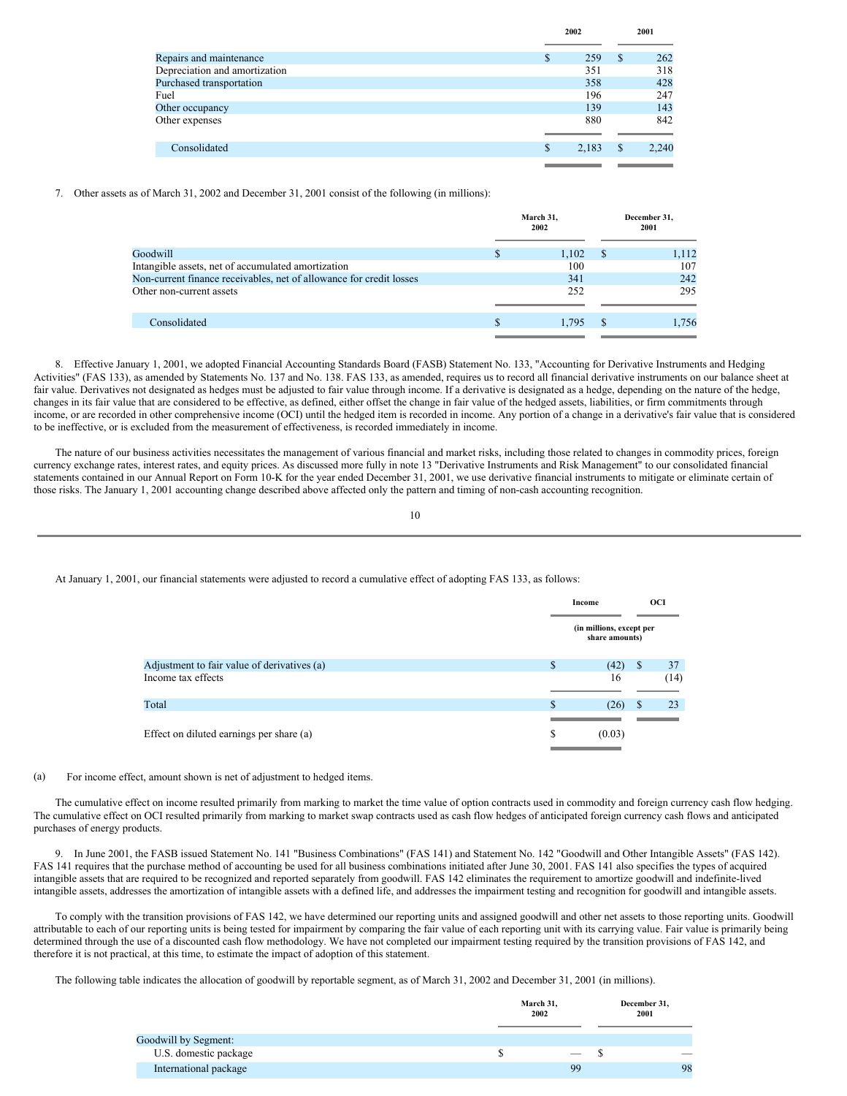|                               | 2002        |   | 2001  |  |
|-------------------------------|-------------|---|-------|--|
|                               |             |   |       |  |
| Repairs and maintenance       | \$<br>259   | S | 262   |  |
| Depreciation and amortization | 351         |   | 318   |  |
| Purchased transportation      | 358         |   | 428   |  |
| Fuel                          | 196         |   | 247   |  |
| Other occupancy               | 139         |   | 143   |  |
| Other expenses                | 880         |   | 842   |  |
|                               |             |   |       |  |
| Consolidated                  | \$<br>2,183 | S | 2,240 |  |
|                               |             |   |       |  |

7. Other assets as of March 31, 2002 and December 31, 2001 consist of the following (in millions):

|                                                                     | March 31,<br>2002 |    | December 31,<br>2001 |
|---------------------------------------------------------------------|-------------------|----|----------------------|
| Goodwill                                                            | \$<br>1,102       | -S | 1,112                |
| Intangible assets, net of accumulated amortization                  | 100               |    | 107                  |
| Non-current finance receivables, net of allowance for credit losses | 341               |    | 242                  |
| Other non-current assets                                            | 252               |    | 295                  |
|                                                                     |                   |    |                      |
| Consolidated                                                        | 1,795             |    | 1,756                |
|                                                                     |                   |    |                      |

8. Effective January 1, 2001, we adopted Financial Accounting Standards Board (FASB) Statement No. 133, "Accounting for Derivative Instruments and Hedging Activities" (FAS 133), as amended by Statements No. 137 and No. 138. FAS 133, as amended, requires us to record all financial derivative instruments on our balance sheet at fair value. Derivatives not designated as hedges must be adjusted to fair value through income. If a derivative is designated as a hedge, depending on the nature of the hedge, changes in its fair value that are considered to be effective, as defined, either offset the change in fair value of the hedged assets, liabilities, or firm commitments through income, or are recorded in other comprehensive income (OCI) until the hedged item is recorded in income. Any portion of a change in a derivative's fair value that is considered to be ineffective, or is excluded from the measurement of effectiveness, is recorded immediately in income.

The nature of our business activities necessitates the management of various financial and market risks, including those related to changes in commodity prices, foreign currency exchange rates, interest rates, and equity prices. As discussed more fully in note 13 "Derivative Instruments and Risk Management" to our consolidated financial statements contained in our Annual Report on Form 10-K for the year ended December 31, 2001, we use derivative financial instruments to mitigate or eliminate certain of those risks. The January 1, 2001 accounting change described above affected only the pattern and timing of non-cash accounting recognition.

10

## At January 1, 2001, our financial statements were adjusted to record a cumulative effect of adopting FAS 133, as follows:

|                                             | Income                                     | <b>OCI</b> |      |
|---------------------------------------------|--------------------------------------------|------------|------|
|                                             | (in millions, except per<br>share amounts) |            |      |
| Adjustment to fair value of derivatives (a) | \$<br>(42)                                 | S          | 37   |
| Income tax effects                          | 16                                         |            | (14) |
|                                             |                                            |            |      |
| Total                                       | \$<br>(26)                                 | S          | 23   |
|                                             |                                            |            |      |
| Effect on diluted earnings per share (a)    | \$<br>(0.03)                               |            |      |
|                                             |                                            |            |      |

#### (a) For income effect, amount shown is net of adjustment to hedged items.

The cumulative effect on income resulted primarily from marking to market the time value of option contracts used in commodity and foreign currency cash flow hedging. The cumulative effect on OCI resulted primarily from marking to market swap contracts used as cash flow hedges of anticipated foreign currency cash flows and anticipated purchases of energy products.

9. In June 2001, the FASB issued Statement No. 141 "Business Combinations" (FAS 141) and Statement No. 142 "Goodwill and Other Intangible Assets" (FAS 142). FAS 141 requires that the purchase method of accounting be used for all business combinations initiated after June 30, 2001. FAS 141 also specifies the types of acquired intangible assets that are required to be recognized and reported separately from goodwill. FAS 142 eliminates the requirement to amortize goodwill and indefinite-lived intangible assets, addresses the amortization of intangible assets with a defined life, and addresses the impairment testing and recognition for goodwill and intangible assets.

To comply with the transition provisions of FAS 142, we have determined our reporting units and assigned goodwill and other net assets to those reporting units. Goodwill attributable to each of our reporting units is being tested for impairment by comparing the fair value of each reporting unit with its carrying value. Fair value is primarily being determined through the use of a discounted cash flow methodology. We have not completed our impairment testing required by the transition provisions of FAS 142, and therefore it is not practical, at this time, to estimate the impact of adoption of this statement.

The following table indicates the allocation of goodwill by reportable segment, as of March 31, 2002 and December 31, 2001 (in millions).

|                       | March 31,<br>2002 |    | December 31,<br>2001 |
|-----------------------|-------------------|----|----------------------|
| Goodwill by Segment:  |                   |    |                      |
| U.S. domestic package |                   |    | _                    |
| International package |                   | 99 | 98                   |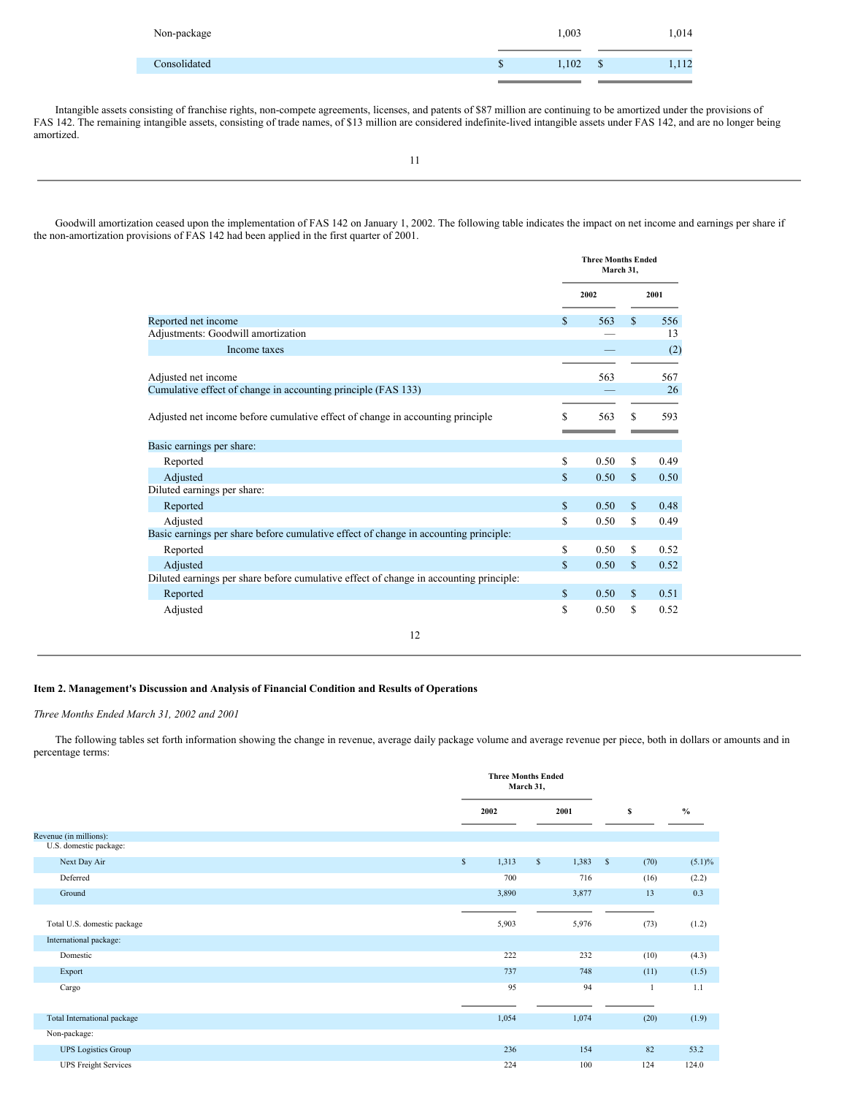| Non-package  | 1.003       | 1,014 |
|--------------|-------------|-------|
| Consolidated | \$<br>1,102 | 1,112 |

Intangible assets consisting of franchise rights, non-compete agreements, licenses, and patents of \$87 million are continuing to be amortized under the provisions of FAS 142. The remaining intangible assets, consisting of trade names, of \$13 million are considered indefinite-lived intangible assets under FAS 142, and are no longer being amortized.

Goodwill amortization ceased upon the implementation of FAS 142 on January 1, 2002. The following table indicates the impact on net income and earnings per share if the non-amortization provisions of FAS 142 had been applied in the first quarter of 2001.

|                                                                                        | <b>Three Months Ended</b><br>March 31,<br>2002 |      |               |      |
|----------------------------------------------------------------------------------------|------------------------------------------------|------|---------------|------|
|                                                                                        |                                                |      |               | 2001 |
| Reported net income                                                                    | $\mathbb{S}$                                   | 563  | \$            | 556  |
| Adjustments: Goodwill amortization                                                     |                                                |      |               | 13   |
| Income taxes                                                                           |                                                |      |               | (2)  |
|                                                                                        |                                                |      |               |      |
| Adjusted net income                                                                    |                                                | 563  |               | 567  |
| Cumulative effect of change in accounting principle (FAS 133)                          |                                                |      |               | 26   |
|                                                                                        |                                                |      |               |      |
| Adjusted net income before cumulative effect of change in accounting principle         | S                                              | 563  | \$            | 593  |
|                                                                                        |                                                |      |               |      |
| Basic earnings per share:                                                              |                                                |      |               |      |
| Reported                                                                               | S                                              | 0.50 | \$            | 0.49 |
| Adjusted                                                                               | S                                              | 0.50 | \$            | 0.50 |
| Diluted earnings per share:                                                            |                                                |      |               |      |
| Reported                                                                               | $\mathbb{S}$                                   | 0.50 | $\mathcal{S}$ | 0.48 |
| Adjusted                                                                               | S                                              | 0.50 | \$            | 0.49 |
| Basic earnings per share before cumulative effect of change in accounting principle:   |                                                |      |               |      |
| Reported                                                                               | S                                              | 0.50 | \$            | 0.52 |
| Adjusted                                                                               | $\mathcal{S}$                                  | 0.50 | $\mathbb{S}$  | 0.52 |
| Diluted earnings per share before cumulative effect of change in accounting principle: |                                                |      |               |      |
| Reported                                                                               | $\mathbb{S}$                                   | 0.50 | $\mathbb{S}$  | 0.51 |
| Adjusted                                                                               | S                                              | 0.50 | \$            | 0.52 |
|                                                                                        |                                                |      |               |      |

12

## <span id="page-7-0"></span>**Item 2. Management's Discussion and Analysis of Financial Condition and Results of Operations**

*Three Months Ended March 31, 2002 and 2001*

The following tables set forth information showing the change in revenue, average daily package volume and average revenue per piece, both in dollars or amounts and in percentage terms:

|                             |                       | <b>Three Months Ended</b><br>March 31, |                      |           |
|-----------------------------|-----------------------|----------------------------------------|----------------------|-----------|
|                             | 2002                  | 2001                                   | \$                   | $\%$      |
| Revenue (in millions):      |                       |                                        |                      |           |
| U.S. domestic package:      |                       |                                        |                      |           |
| Next Day Air                | $\mathbb{S}$<br>1,313 | $\mathbb{S}$<br>1,383                  | (70)<br><sup>S</sup> | $(5.1)\%$ |
| Deferred                    | 700                   | 716                                    | (16)                 | (2.2)     |
| Ground                      | 3,890                 | 3,877                                  | 13                   | 0.3       |
|                             |                       |                                        |                      |           |
| Total U.S. domestic package | 5,903                 | 5,976                                  | (73)                 | (1.2)     |
| International package:      |                       |                                        |                      |           |
| Domestic                    | 222                   | 232                                    | (10)                 | (4.3)     |
| Export                      | 737                   | 748                                    | (11)                 | (1.5)     |
| Cargo                       | 95                    | 94                                     | $\mathbf{1}$         | 1.1       |
|                             |                       |                                        |                      |           |
| Total International package | 1,054                 | 1,074                                  | (20)                 | (1.9)     |
| Non-package:                |                       |                                        |                      |           |
| <b>UPS</b> Logistics Group  | 236                   | 154                                    | 82                   | 53.2      |
| <b>UPS Freight Services</b> | 224                   | 100                                    | 124                  | 124.0     |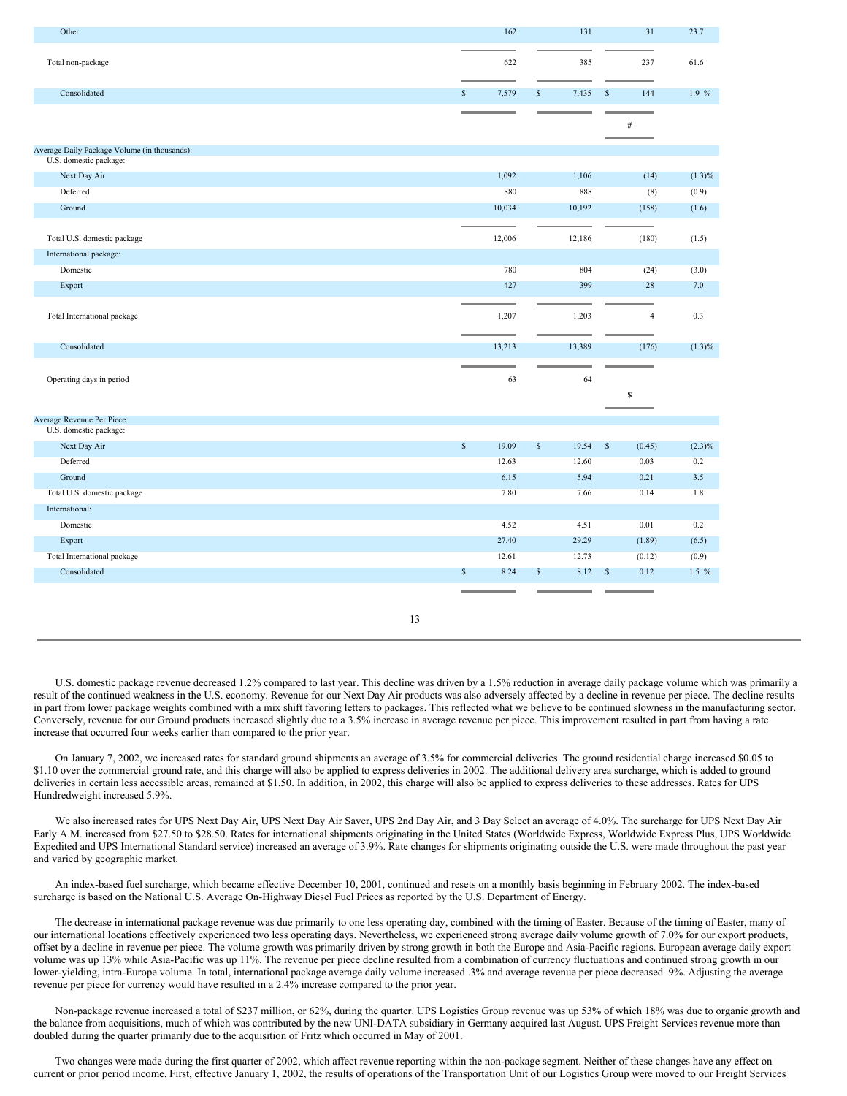| Other                                                                  |              | 162    |              | 131    |                                                                    | 31             | 23.7      |
|------------------------------------------------------------------------|--------------|--------|--------------|--------|--------------------------------------------------------------------|----------------|-----------|
| Total non-package                                                      |              | 622    |              | 385    |                                                                    | 237            | 61.6      |
| Consolidated                                                           | $\mathbf{s}$ | 7,579  | $\mathbb{S}$ | 7,435  | $\mathsf{s}$                                                       | 144            | 1.9 %     |
|                                                                        |              |        |              |        |                                                                    | #              |           |
| Average Daily Package Volume (in thousands):<br>U.S. domestic package: |              |        |              |        |                                                                    |                |           |
| Next Day Air                                                           |              | 1,092  |              | 1,106  |                                                                    | (14)           | $(1.3)\%$ |
| Deferred                                                               |              | 880    |              | 888    |                                                                    | (8)            | (0.9)     |
| Ground                                                                 |              | 10,034 |              | 10,192 |                                                                    | (158)          | (1.6)     |
| Total U.S. domestic package                                            |              | 12,006 |              | 12,186 |                                                                    | (180)          | (1.5)     |
| International package:                                                 |              |        |              |        |                                                                    |                |           |
| Domestic                                                               |              | 780    |              | 804    |                                                                    | (24)           | (3.0)     |
| Export                                                                 |              | 427    |              | 399    |                                                                    | 28             | 7.0       |
| Total International package                                            |              | 1,207  |              | 1,203  |                                                                    | $\overline{4}$ | 0.3       |
| Consolidated                                                           |              | 13,213 |              | 13,389 |                                                                    | (176)          | $(1.3)\%$ |
| Operating days in period                                               |              | 63     |              | 64     |                                                                    | \$             |           |
| Average Revenue Per Piece:<br>U.S. domestic package:                   |              |        |              |        |                                                                    |                |           |
| Next Day Air                                                           | $\mathbb{S}$ | 19.09  | $\mathbb{S}$ | 19.54  | $\mathbb{S}% _{C}^{X\text{}}\otimes\mathbb{S}_{C}^{C}(\mathbb{R})$ | (0.45)         | $(2.3)\%$ |
| Deferred                                                               |              | 12.63  |              | 12.60  |                                                                    | 0.03           | 0.2       |
| Ground                                                                 |              | 6.15   |              | 5.94   |                                                                    | 0.21           | 3.5       |
| Total U.S. domestic package                                            |              | 7.80   |              | 7.66   |                                                                    | 0.14           | 1.8       |
| International:                                                         |              |        |              |        |                                                                    |                |           |
| Domestic                                                               |              | 4.52   |              | 4.51   |                                                                    | 0.01           | 0.2       |
| Export                                                                 |              | 27.40  |              | 29.29  |                                                                    | (1.89)         | (6.5)     |
| Total International package                                            |              | 12.61  |              | 12.73  |                                                                    | (0.12)         | (0.9)     |
| Consolidated                                                           | $\mathbb{S}$ | 8.24   | $\mathbb{S}$ | 8.12   | $\mathbb{S}$                                                       | 0.12           | $1.5\%$   |
|                                                                        |              |        |              |        |                                                                    |                |           |

13

U.S. domestic package revenue decreased 1.2% compared to last year. This decline was driven by a 1.5% reduction in average daily package volume which was primarily a result of the continued weakness in the U.S. economy. Revenue for our Next Day Air products was also adversely affected by a decline in revenue per piece. The decline results in part from lower package weights combined with a mix shift favoring letters to packages. This reflected what we believe to be continued slowness in the manufacturing sector. Conversely, revenue for our Ground products increased slightly due to a 3.5% increase in average revenue per piece. This improvement resulted in part from having a rate increase that occurred four weeks earlier than compared to the prior year.

On January 7, 2002, we increased rates for standard ground shipments an average of 3.5% for commercial deliveries. The ground residential charge increased \$0.05 to \$1.10 over the commercial ground rate, and this charge will also be applied to express deliveries in 2002. The additional delivery area surcharge, which is added to ground deliveries in certain less accessible areas, remained at \$1.50. In addition, in 2002, this charge will also be applied to express deliveries to these addresses. Rates for UPS Hundredweight increased 5.9%.

We also increased rates for UPS Next Day Air, UPS Next Day Air Saver, UPS 2nd Day Air, and 3 Day Select an average of 4.0%. The surcharge for UPS Next Day Air Early A.M. increased from \$27.50 to \$28.50. Rates for international shipments originating in the United States (Worldwide Express, Worldwide Express Plus, UPS Worldwide Expedited and UPS International Standard service) increased an average of 3.9%. Rate changes for shipments originating outside the U.S. were made throughout the past year and varied by geographic market.

An index-based fuel surcharge, which became effective December 10, 2001, continued and resets on a monthly basis beginning in February 2002. The index-based surcharge is based on the National U.S. Average On-Highway Diesel Fuel Prices as reported by the U.S. Department of Energy.

The decrease in international package revenue was due primarily to one less operating day, combined with the timing of Easter. Because of the timing of Easter, many of our international locations effectively experienced two less operating days. Nevertheless, we experienced strong average daily volume growth of 7.0% for our export products, offset by a decline in revenue per piece. The volume growth was primarily driven by strong growth in both the Europe and Asia-Pacific regions. European average daily export volume was up 13% while Asia-Pacific was up 11%. The revenue per piece decline resulted from a combination of currency fluctuations and continued strong growth in our lower-yielding, intra-Europe volume. In total, international package average daily volume increased .3% and average revenue per piece decreased .9%. Adjusting the average revenue per piece for currency would have resulted in a 2.4% increase compared to the prior year.

Non-package revenue increased a total of \$237 million, or 62%, during the quarter. UPS Logistics Group revenue was up 53% of which 18% was due to organic growth and the balance from acquisitions, much of which was contributed by the new UNI-DATA subsidiary in Germany acquired last August. UPS Freight Services revenue more than doubled during the quarter primarily due to the acquisition of Fritz which occurred in May of 2001.

Two changes were made during the first quarter of 2002, which affect revenue reporting within the non-package segment. Neither of these changes have any effect on current or prior period income. First, effective January 1, 2002, the results of operations of the Transportation Unit of our Logistics Group were moved to our Freight Services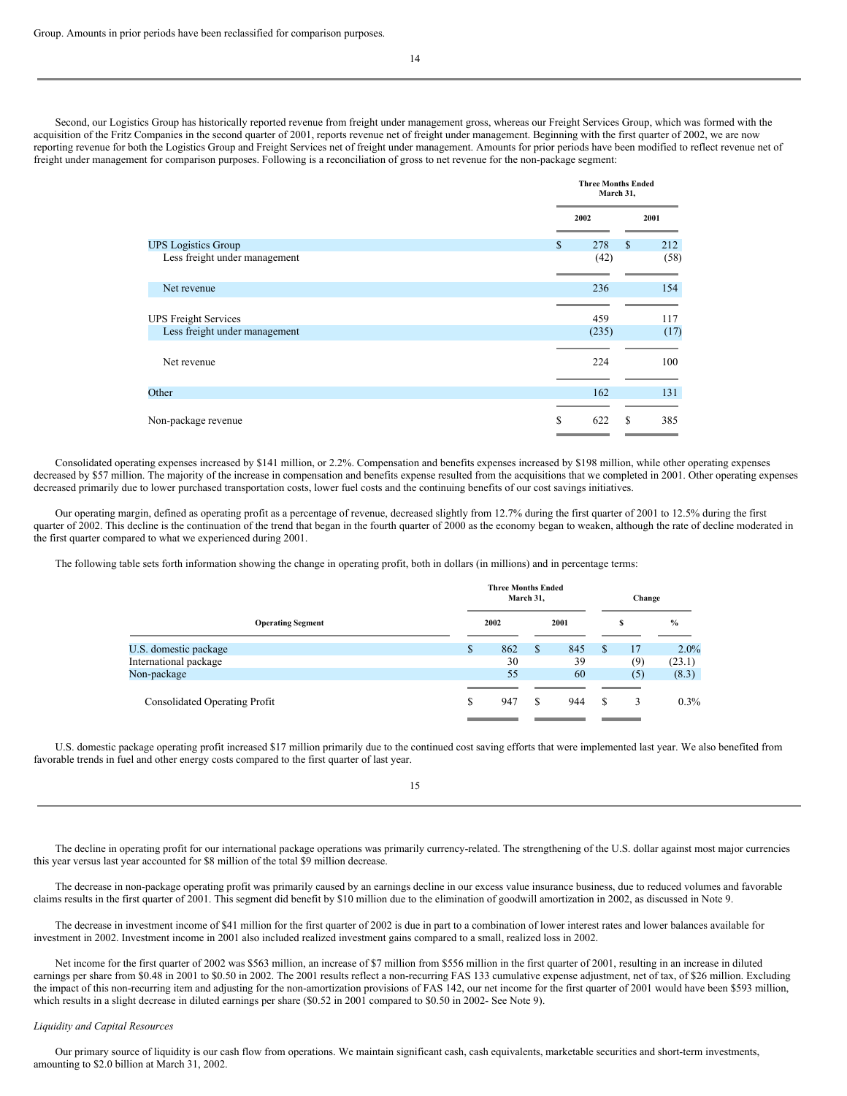Second, our Logistics Group has historically reported revenue from freight under management gross, whereas our Freight Services Group, which was formed with the acquisition of the Fritz Companies in the second quarter of 2001, reports revenue net of freight under management. Beginning with the first quarter of 2002, we are now reporting revenue for both the Logistics Group and Freight Services net of freight under management. Amounts for prior periods have been modified to reflect revenue net of freight under management for comparison purposes. Following is a reconciliation of gross to net revenue for the non-package segment:

|                               |           | <b>Three Months Ended</b><br>March 31, |
|-------------------------------|-----------|----------------------------------------|
|                               | 2002      | 2001                                   |
| <b>UPS</b> Logistics Group    | \$<br>278 | $\mathbb{S}$<br>212                    |
| Less freight under management | (42)      | (58)                                   |
| Net revenue                   | 236       | 154                                    |
|                               |           |                                        |
| <b>UPS</b> Freight Services   | 459       | 117                                    |
| Less freight under management | (235)     | (17)                                   |
|                               |           |                                        |
| Net revenue                   | 224       | 100                                    |
|                               |           |                                        |
| Other                         | 162       | 131                                    |
|                               |           |                                        |
| Non-package revenue           | \$<br>622 | 385<br>S                               |

Consolidated operating expenses increased by \$141 million, or 2.2%. Compensation and benefits expenses increased by \$198 million, while other operating expenses decreased by \$57 million. The majority of the increase in compensation and benefits expense resulted from the acquisitions that we completed in 2001. Other operating expenses decreased primarily due to lower purchased transportation costs, lower fuel costs and the continuing benefits of our cost savings initiatives.

Our operating margin, defined as operating profit as a percentage of revenue, decreased slightly from 12.7% during the first quarter of 2001 to 12.5% during the first quarter of 2002. This decline is the continuation of the trend that began in the fourth quarter of 2000 as the economy began to weaken, although the rate of decline moderated in the first quarter compared to what we experienced during 2001.

The following table sets forth information showing the change in operating profit, both in dollars (in millions) and in percentage terms:

|                               |    | <b>Three Months Ended</b> | March 31, |      |     | Change |         |
|-------------------------------|----|---------------------------|-----------|------|-----|--------|---------|
| <b>Operating Segment</b>      |    | 2002                      |           | 2001 |     | S      | $\%$    |
| U.S. domestic package         | \$ | 862                       | S         | 845  | \$. | 17     | 2.0%    |
| International package         |    | 30                        |           | 39   |     | (9)    | (23.1)  |
| Non-package                   |    | 55                        |           | 60   |     | (5)    | (8.3)   |
| Consolidated Operating Profit | S  | 947                       | S         | 944  | S   | 3      | $0.3\%$ |
|                               |    |                           |           |      |     |        |         |

U.S. domestic package operating profit increased \$17 million primarily due to the continued cost saving efforts that were implemented last year. We also benefited from favorable trends in fuel and other energy costs compared to the first quarter of last year.

15

The decline in operating profit for our international package operations was primarily currency-related. The strengthening of the U.S. dollar against most major currencies this year versus last year accounted for \$8 million of the total \$9 million decrease.

The decrease in non-package operating profit was primarily caused by an earnings decline in our excess value insurance business, due to reduced volumes and favorable claims results in the first quarter of 2001. This segment did benefit by \$10 million due to the elimination of goodwill amortization in 2002, as discussed in Note 9.

The decrease in investment income of \$41 million for the first quarter of 2002 is due in part to a combination of lower interest rates and lower balances available for investment in 2002. Investment income in 2001 also included realized investment gains compared to a small, realized loss in 2002.

Net income for the first quarter of 2002 was \$563 million, an increase of \$7 million from \$556 million in the first quarter of 2001, resulting in an increase in diluted earnings per share from \$0.48 in 2001 to \$0.50 in 2002. The 2001 results reflect a non-recurring FAS 133 cumulative expense adjustment, net of tax, of \$26 million. Excluding the impact of this non-recurring item and adjusting for the non-amortization provisions of FAS 142, our net income for the first quarter of 2001 would have been \$593 million, which results in a slight decrease in diluted earnings per share (\$0.52 in 2001 compared to \$0.50 in 2002- See Note 9).

## *Liquidity and Capital Resources*

Our primary source of liquidity is our cash flow from operations. We maintain significant cash, cash equivalents, marketable securities and short-term investments, amounting to \$2.0 billion at March 31, 2002.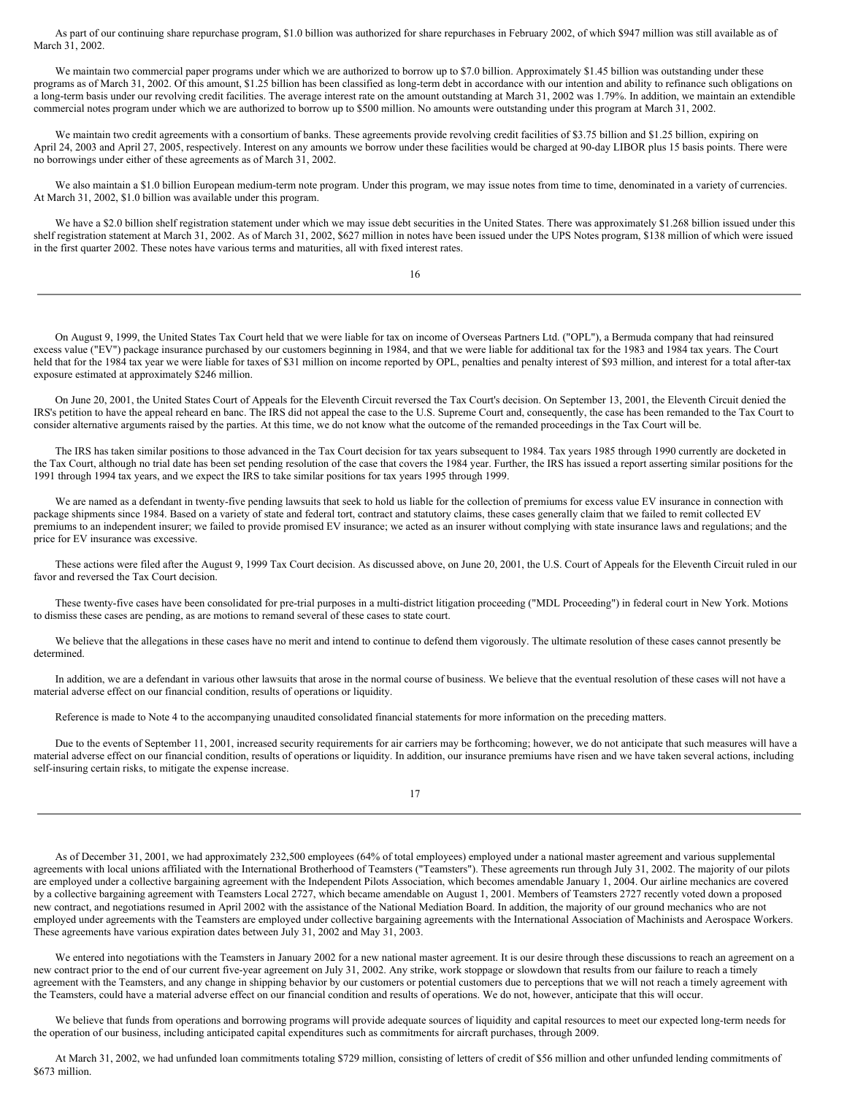As part of our continuing share repurchase program, \$1.0 billion was authorized for share repurchases in February 2002, of which \$947 million was still available as of March 31, 2002.

We maintain two commercial paper programs under which we are authorized to borrow up to \$7.0 billion. Approximately \$1.45 billion was outstanding under these programs as of March 31, 2002. Of this amount, \$1.25 billion has been classified as long-term debt in accordance with our intention and ability to refinance such obligations on a long-term basis under our revolving credit facilities. The average interest rate on the amount outstanding at March 31, 2002 was 1.79%. In addition, we maintain an extendible commercial notes program under which we are authorized to borrow up to \$500 million. No amounts were outstanding under this program at March 31, 2002.

We maintain two credit agreements with a consortium of banks. These agreements provide revolving credit facilities of \$3.75 billion and \$1.25 billion, expiring on April 24, 2003 and April 27, 2005, respectively. Interest on any amounts we borrow under these facilities would be charged at 90-day LIBOR plus 15 basis points. There were no borrowings under either of these agreements as of March 31, 2002.

We also maintain a \$1.0 billion European medium-term note program. Under this program, we may issue notes from time to time, denominated in a variety of currencies. At March 31, 2002, \$1.0 billion was available under this program.

We have a \$2.0 billion shelf registration statement under which we may issue debt securities in the United States. There was approximately \$1.268 billion issued under this shelf registration statement at March 31, 2002. As of March 31, 2002, \$627 million in notes have been issued under the UPS Notes program, \$138 million of which were issued in the first quarter 2002. These notes have various terms and maturities, all with fixed interest rates.

16

On August 9, 1999, the United States Tax Court held that we were liable for tax on income of Overseas Partners Ltd. ("OPL"), a Bermuda company that had reinsured excess value ("EV") package insurance purchased by our customers beginning in 1984, and that we were liable for additional tax for the 1983 and 1984 tax years. The Court held that for the 1984 tax year we were liable for taxes of \$31 million on income reported by OPL, penalties and penalty interest of \$93 million, and interest for a total after-tax exposure estimated at approximately \$246 million.

On June 20, 2001, the United States Court of Appeals for the Eleventh Circuit reversed the Tax Court's decision. On September 13, 2001, the Eleventh Circuit denied the IRS's petition to have the appeal reheard en banc. The IRS did not appeal the case to the U.S. Supreme Court and, consequently, the case has been remanded to the Tax Court to consider alternative arguments raised by the parties. At this time, we do not know what the outcome of the remanded proceedings in the Tax Court will be.

The IRS has taken similar positions to those advanced in the Tax Court decision for tax years subsequent to 1984. Tax years 1985 through 1990 currently are docketed in the Tax Court, although no trial date has been set pending resolution of the case that covers the 1984 year. Further, the IRS has issued a report asserting similar positions for the 1991 through 1994 tax years, and we expect the IRS to take similar positions for tax years 1995 through 1999.

We are named as a defendant in twenty-five pending lawsuits that seek to hold us liable for the collection of premiums for excess value EV insurance in connection with package shipments since 1984. Based on a variety of state and federal tort, contract and statutory claims, these cases generally claim that we failed to remit collected EV premiums to an independent insurer; we failed to provide promised EV insurance; we acted as an insurer without complying with state insurance laws and regulations; and the price for EV insurance was excessive.

These actions were filed after the August 9, 1999 Tax Court decision. As discussed above, on June 20, 2001, the U.S. Court of Appeals for the Eleventh Circuit ruled in our favor and reversed the Tax Court decision.

These twenty-five cases have been consolidated for pre-trial purposes in a multi-district litigation proceeding ("MDL Proceeding") in federal court in New York. Motions to dismiss these cases are pending, as are motions to remand several of these cases to state court.

We believe that the allegations in these cases have no merit and intend to continue to defend them vigorously. The ultimate resolution of these cases cannot presently be determined.

In addition, we are a defendant in various other lawsuits that arose in the normal course of business. We believe that the eventual resolution of these cases will not have a material adverse effect on our financial condition, results of operations or liquidity.

Reference is made to Note 4 to the accompanying unaudited consolidated financial statements for more information on the preceding matters.

Due to the events of September 11, 2001, increased security requirements for air carriers may be forthcoming; however, we do not anticipate that such measures will have a material adverse effect on our financial condition, results of operations or liquidity. In addition, our insurance premiums have risen and we have taken several actions, including self-insuring certain risks, to mitigate the expense increase.

As of December 31, 2001, we had approximately 232,500 employees (64% of total employees) employed under a national master agreement and various supplemental agreements with local unions affiliated with the International Brotherhood of Teamsters ("Teamsters"). These agreements run through July 31, 2002. The majority of our pilots are employed under a collective bargaining agreement with the Independent Pilots Association, which becomes amendable January 1, 2004. Our airline mechanics are covered by a collective bargaining agreement with Teamsters Local 2727, which became amendable on August 1, 2001. Members of Teamsters 2727 recently voted down a proposed new contract, and negotiations resumed in April 2002 with the assistance of the National Mediation Board. In addition, the majority of our ground mechanics who are not employed under agreements with the Teamsters are employed under collective bargaining agreements with the International Association of Machinists and Aerospace Workers. These agreements have various expiration dates between July 31, 2002 and May 31, 2003.

We entered into negotiations with the Teamsters in January 2002 for a new national master agreement. It is our desire through these discussions to reach an agreement on a new contract prior to the end of our current five-year agreement on July 31, 2002. Any strike, work stoppage or slowdown that results from our failure to reach a timely agreement with the Teamsters, and any change in shipping behavior by our customers or potential customers due to perceptions that we will not reach a timely agreement with the Teamsters, could have a material adverse effect on our financial condition and results of operations. We do not, however, anticipate that this will occur.

We believe that funds from operations and borrowing programs will provide adequate sources of liquidity and capital resources to meet our expected long-term needs for the operation of our business, including anticipated capital expenditures such as commitments for aircraft purchases, through 2009.

At March 31, 2002, we had unfunded loan commitments totaling \$729 million, consisting of letters of credit of \$56 million and other unfunded lending commitments of \$673 million.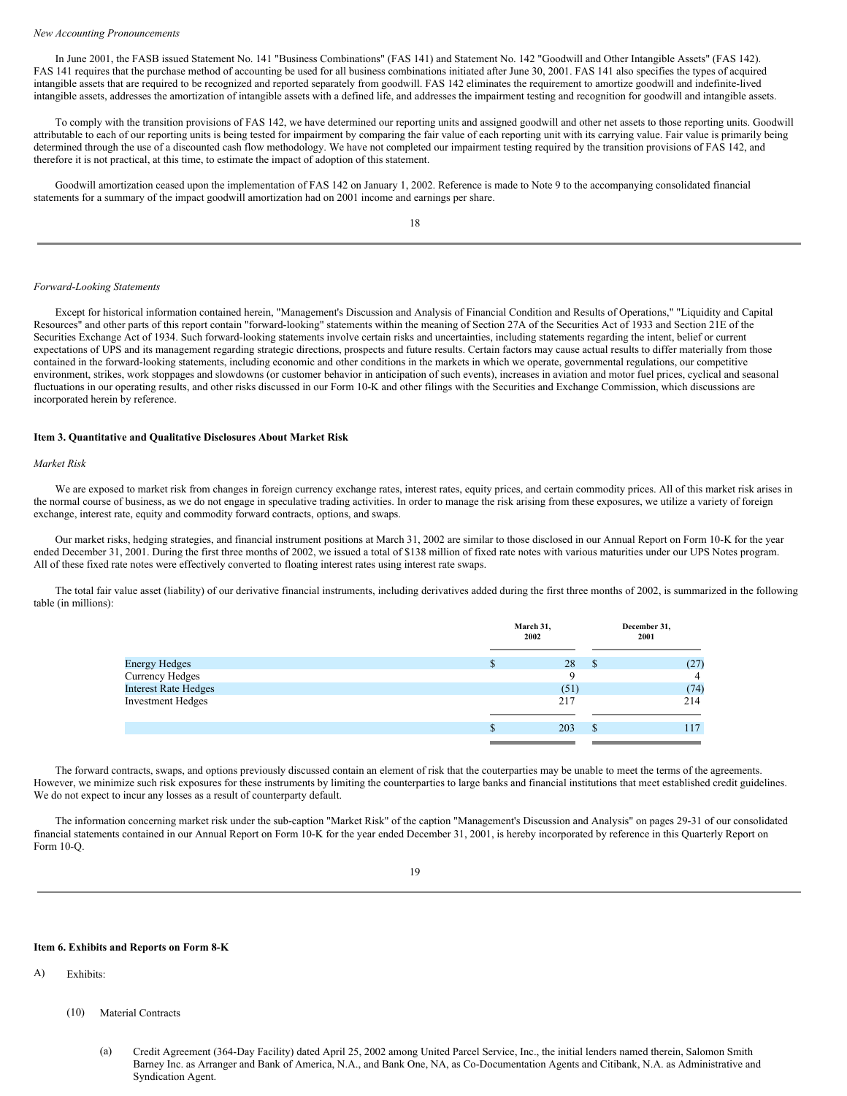#### *New Accounting Pronouncements*

In June 2001, the FASB issued Statement No. 141 "Business Combinations" (FAS 141) and Statement No. 142 "Goodwill and Other Intangible Assets" (FAS 142). FAS 141 requires that the purchase method of accounting be used for all business combinations initiated after June 30, 2001. FAS 141 also specifies the types of acquired intangible assets that are required to be recognized and reported separately from goodwill. FAS 142 eliminates the requirement to amortize goodwill and indefinite-lived intangible assets, addresses the amortization of intangible assets with a defined life, and addresses the impairment testing and recognition for goodwill and intangible assets.

To comply with the transition provisions of FAS 142, we have determined our reporting units and assigned goodwill and other net assets to those reporting units. Goodwill attributable to each of our reporting units is being tested for impairment by comparing the fair value of each reporting unit with its carrying value. Fair value is primarily being determined through the use of a discounted cash flow methodology. We have not completed our impairment testing required by the transition provisions of FAS 142, and therefore it is not practical, at this time, to estimate the impact of adoption of this statement.

Goodwill amortization ceased upon the implementation of FAS 142 on January 1, 2002. Reference is made to Note 9 to the accompanying consolidated financial statements for a summary of the impact goodwill amortization had on 2001 income and earnings per share.

18

#### *Forward-Looking Statements*

Except for historical information contained herein, "Management's Discussion and Analysis of Financial Condition and Results of Operations," "Liquidity and Capital Resources" and other parts of this report contain "forward-looking" statements within the meaning of Section 27A of the Securities Act of 1933 and Section 21E of the Securities Exchange Act of 1934. Such forward-looking statements involve certain risks and uncertainties, including statements regarding the intent, belief or current expectations of UPS and its management regarding strategic directions, prospects and future results. Certain factors may cause actual results to differ materially from those contained in the forward-looking statements, including economic and other conditions in the markets in which we operate, governmental regulations, our competitive environment, strikes, work stoppages and slowdowns (or customer behavior in anticipation of such events), increases in aviation and motor fuel prices, cyclical and seasonal fluctuations in our operating results, and other risks discussed in our Form 10-K and other filings with the Securities and Exchange Commission, which discussions are incorporated herein by reference.

#### <span id="page-11-0"></span>**Item 3. Quantitative and Qualitative Disclosures About Market Risk**

## *Market Risk*

We are exposed to market risk from changes in foreign currency exchange rates, interest rates, equity prices, and certain commodity prices. All of this market risk arises in the normal course of business, as we do not engage in speculative trading activities. In order to manage the risk arising from these exposures, we utilize a variety of foreign exchange, interest rate, equity and commodity forward contracts, options, and swaps.

Our market risks, hedging strategies, and financial instrument positions at March 31, 2002 are similar to those disclosed in our Annual Report on Form 10-K for the year ended December 31, 2001. During the first three months of 2002, we issued a total of \$138 million of fixed rate notes with various maturities under our UPS Notes program. All of these fixed rate notes were effectively converted to floating interest rates using interest rate swaps.

The total fair value asset (liability) of our derivative financial instruments, including derivatives added during the first three months of 2002, is summarized in the following table (in millions):

|                             |   | March 31,<br>2002 | December 31,<br>2001 |      |  |
|-----------------------------|---|-------------------|----------------------|------|--|
| <b>Energy Hedges</b>        | G | 28                | <sup>\$</sup>        | (27) |  |
| Currency Hedges             |   |                   |                      | 4    |  |
| <b>Interest Rate Hedges</b> |   | (51)              |                      | (74) |  |
| <b>Investment Hedges</b>    |   | 217               |                      | 214  |  |
|                             |   | 203               | <sup>\$</sup>        | 117  |  |
|                             |   |                   |                      |      |  |

The forward contracts, swaps, and options previously discussed contain an element of risk that the couterparties may be unable to meet the terms of the agreements. However, we minimize such risk exposures for these instruments by limiting the counterparties to large banks and financial institutions that meet established credit guidelines. We do not expect to incur any losses as a result of counterparty default.

The information concerning market risk under the sub-caption "Market Risk" of the caption "Management's Discussion and Analysis" on pages 29-31 of our consolidated financial statements contained in our Annual Report on Form 10-K for the year ended December 31, 2001, is hereby incorporated by reference in this Quarterly Report on Form 10-Q.

19

#### <span id="page-11-1"></span>**Item 6. Exhibits and Reports on Form 8-K**

- A) Exhibits:
	- (10) Material Contracts
		- (a) Credit Agreement (364-Day Facility) dated April 25, 2002 among United Parcel Service, Inc., the initial lenders named therein, Salomon Smith Barney Inc. as Arranger and Bank of America, N.A., and Bank One, NA, as Co-Documentation Agents and Citibank, N.A. as Administrative and Syndication Agent.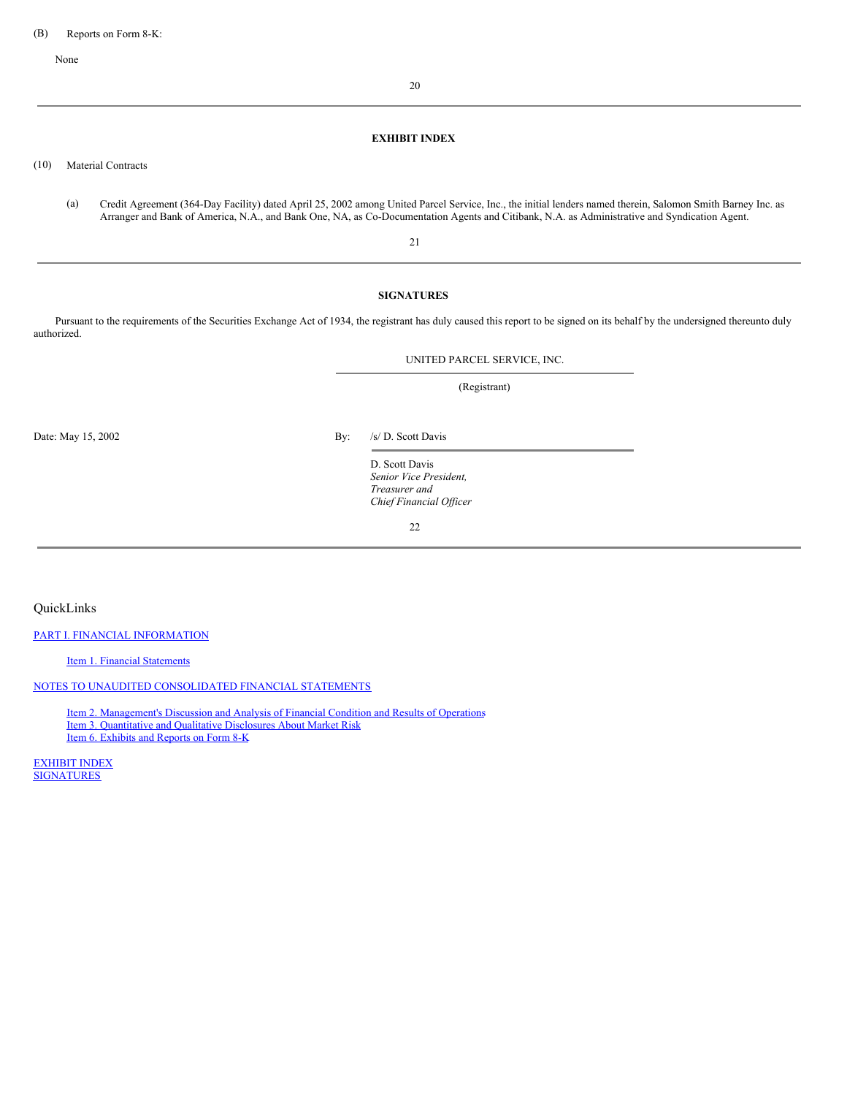None

<span id="page-12-1"></span>20

## **EXHIBIT INDEX**

(10) Material Contracts

(a) Credit Agreement (364-Day Facility) dated April 25, 2002 among United Parcel Service, Inc., the initial lenders named therein, Salomon Smith Barney Inc. as Arranger and Bank of America, N.A., and Bank One, NA, as Co-Documentation Agents and Citibank, N.A. as Administrative and Syndication Agent.

21

## <span id="page-12-2"></span>**SIGNATURES**

Pursuant to the requirements of the Securities Exchange Act of 1934, the registrant has duly caused this report to be signed on its behalf by the undersigned thereunto duly authorized.

UNITED PARCEL SERVICE, INC.

(Registrant)

Date: May 15, 2002 By: /s/ D. Scott Davis

D. Scott Davis *Senior Vice President, Treasurer and Chief Financial Of icer*

22

<span id="page-12-0"></span>QuickLinks

PART I. FINANCIAL [INFORMATION](#page-0-0)

Item 1. Financial [Statements](#page-0-1)

NOTES TO UNAUDITED [CONSOLIDATED](#page-3-0) FINANCIAL STATEMENTS

Item 2. [Management's](#page-7-0) Discussion and Analysis of Financial Condition and Results of Operations Item 3. [Quantitative](#page-11-0) and Qualitative Disclosures About Market Risk Item 6. [Exhibits](#page-11-1) and Reports on Form 8-K

[EXHIBIT](#page-12-1) INDEX **[SIGNATURES](#page-12-2)**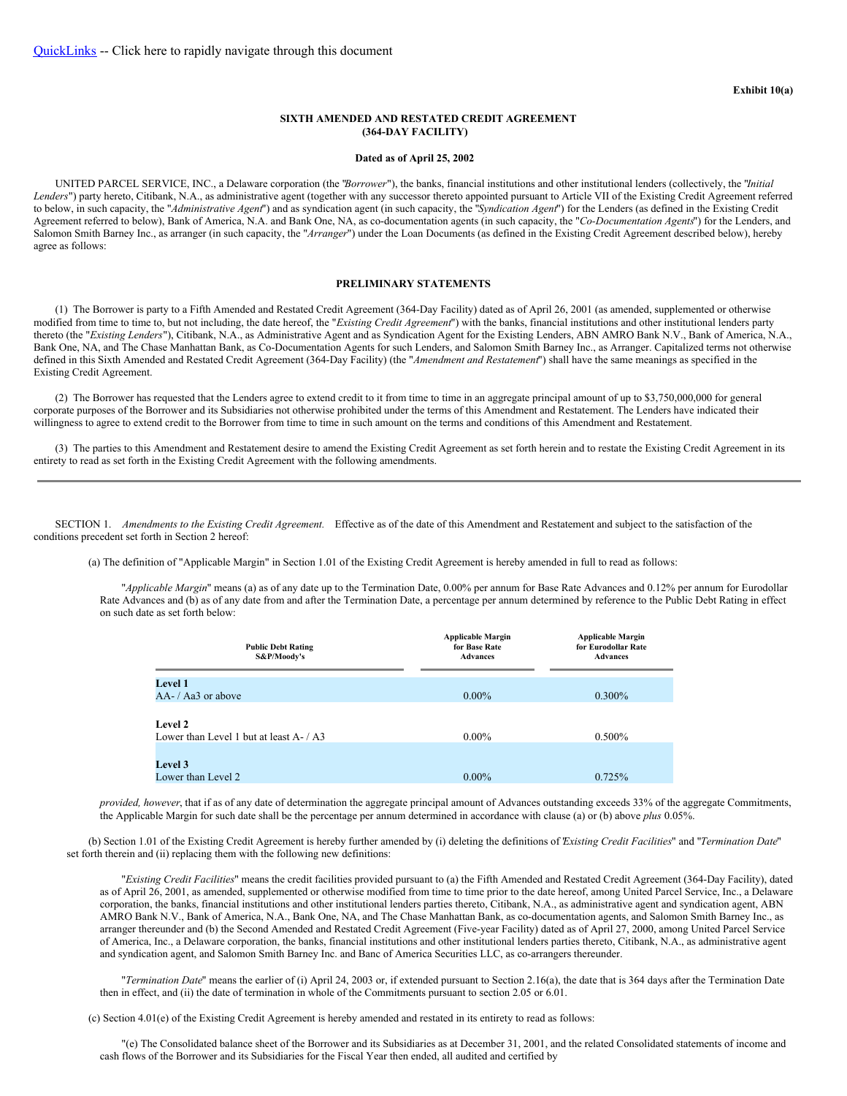## **SIXTH AMENDED AND RESTATED CREDIT AGREEMENT (364-DAY FACILITY)**

## <span id="page-13-0"></span>**Dated as of April 25, 2002**

UNITED PARCEL SERVICE, INC., a Delaware corporation (the "*Borrower*"), the banks, financial institutions and other institutional lenders (collectively, the "*Initial* Lenders") party hereto, Citibank, N.A., as administrative agent (together with any successor thereto appointed pursuant to Article VII of the Existing Credit Agreement referred to below, in such capacity, the "*Administrative Agent*") and as syndication agent (in such capacity, the "*Syndication Agent*") for the Lenders (as defined in the Existing Credit Agreement referred to below), Bank of America, N.A. and Bank One, NA, as co-documentation agents (in such capacity, the "*Co-Documentation Agents*") for the Lenders, and Salomon Smith Barney Inc., as arranger (in such capacity, the "*Arranger*") under the Loan Documents (as defined in the Existing Credit Agreement described below), hereby agree as follows:

#### <span id="page-13-1"></span>**PRELIMINARY STATEMENTS**

(1) The Borrower is party to a Fifth Amended and Restated Credit Agreement (364-Day Facility) dated as of April 26, 2001 (as amended, supplemented or otherwise modified from time to time to, but not including, the date hereof, the "*Existing Credit Agreement*") with the banks, financial institutions and other institutional lenders party thereto (the "*Existing Lenders*"), Citibank, N.A., as Administrative Agent and as Syndication Agent for the Existing Lenders, ABN AMRO Bank N.V., Bank of America, N.A., Bank One, NA, and The Chase Manhattan Bank, as Co-Documentation Agents for such Lenders, and Salomon Smith Barney Inc., as Arranger. Capitalized terms not otherwise defined in this Sixth Amended and Restated Credit Agreement (364-Day Facility) (the "*Amendment and Restatement*") shall have the same meanings as specified in the Existing Credit Agreement.

(2) The Borrower has requested that the Lenders agree to extend credit to it from time to time in an aggregate principal amount of up to \$3,750,000,000 for general corporate purposes of the Borrower and its Subsidiaries not otherwise prohibited under the terms of this Amendment and Restatement. The Lenders have indicated their willingness to agree to extend credit to the Borrower from time to time in such amount on the terms and conditions of this Amendment and Restatement.

(3) The parties to this Amendment and Restatement desire to amend the Existing Credit Agreement as set forth herein and to restate the Existing Credit Agreement in its entirety to read as set forth in the Existing Credit Agreement with the following amendments.

SECTION 1. *Amendments to the Existing Credit Agreement.* Effective as of the date of this Amendment and Restatement and subject to the satisfaction of the conditions precedent set forth in Section 2 hereof:

(a) The definition of "Applicable Margin" in Section 1.01 of the Existing Credit Agreement is hereby amended in full to read as follows:

"*Applicable Margin*" means (a) as of any date up to the Termination Date, 0.00% per annum for Base Rate Advances and 0.12% per annum for Eurodollar Rate Advances and (b) as of any date from and after the Termination Date, a percentage per annum determined by reference to the Public Debt Rating in effect on such date as set forth below:

| <b>Public Debt Rating</b><br>S&P/Moody's   | <b>Applicable Margin</b><br>for Base Rate<br><b>Advances</b> | <b>Applicable Margin</b><br>for Eurodollar Rate<br><b>Advances</b> |
|--------------------------------------------|--------------------------------------------------------------|--------------------------------------------------------------------|
| <b>Level 1</b>                             |                                                              |                                                                    |
| $AA$ - / Aa3 or above                      | $0.00\%$                                                     | $0.300\%$                                                          |
|                                            |                                                              |                                                                    |
| <b>Level 2</b>                             |                                                              |                                                                    |
| Lower than Level 1 but at least $A - / A3$ | $0.00\%$                                                     | $0.500\%$                                                          |
|                                            |                                                              |                                                                    |
| <b>Level 3</b>                             |                                                              |                                                                    |
| Lower than Level 2                         | $0.00\%$                                                     | 0.725%                                                             |

*provided, however*, that if as of any date of determination the aggregate principal amount of Advances outstanding exceeds 33% of the aggregate Commitments, the Applicable Margin for such date shall be the percentage per annum determined in accordance with clause (a) or (b) above *plus* 0.05%.

(b) Section 1.01 of the Existing Credit Agreement is hereby further amended by (i) deleting the definitions of "*Existing Credit Facilities*" and "*Termination Date*" set forth therein and (ii) replacing them with the following new definitions:

"*Existing Credit Facilities*" means the credit facilities provided pursuant to (a) the Fifth Amended and Restated Credit Agreement (364-Day Facility), dated as of April 26, 2001, as amended, supplemented or otherwise modified from time to time prior to the date hereof, among United Parcel Service, Inc., a Delaware corporation, the banks, financial institutions and other institutional lenders parties thereto, Citibank, N.A., as administrative agent and syndication agent, ABN AMRO Bank N.V., Bank of America, N.A., Bank One, NA, and The Chase Manhattan Bank, as co-documentation agents, and Salomon Smith Barney Inc., as arranger thereunder and (b) the Second Amended and Restated Credit Agreement (Five-year Facility) dated as of April 27, 2000, among United Parcel Service of America, Inc., a Delaware corporation, the banks, financial institutions and other institutional lenders parties thereto, Citibank, N.A., as administrative agent and syndication agent, and Salomon Smith Barney Inc. and Banc of America Securities LLC, as co-arrangers thereunder.

"*Termination Date*" means the earlier of (i) April 24, 2003 or, if extended pursuant to Section 2.16(a), the date that is 364 days after the Termination Date then in effect, and (ii) the date of termination in whole of the Commitments pursuant to section 2.05 or 6.01.

(c) Section 4.01(e) of the Existing Credit Agreement is hereby amended and restated in its entirety to read as follows:

"(e) The Consolidated balance sheet of the Borrower and its Subsidiaries as at December 31, 2001, and the related Consolidated statements of income and cash flows of the Borrower and its Subsidiaries for the Fiscal Year then ended, all audited and certified by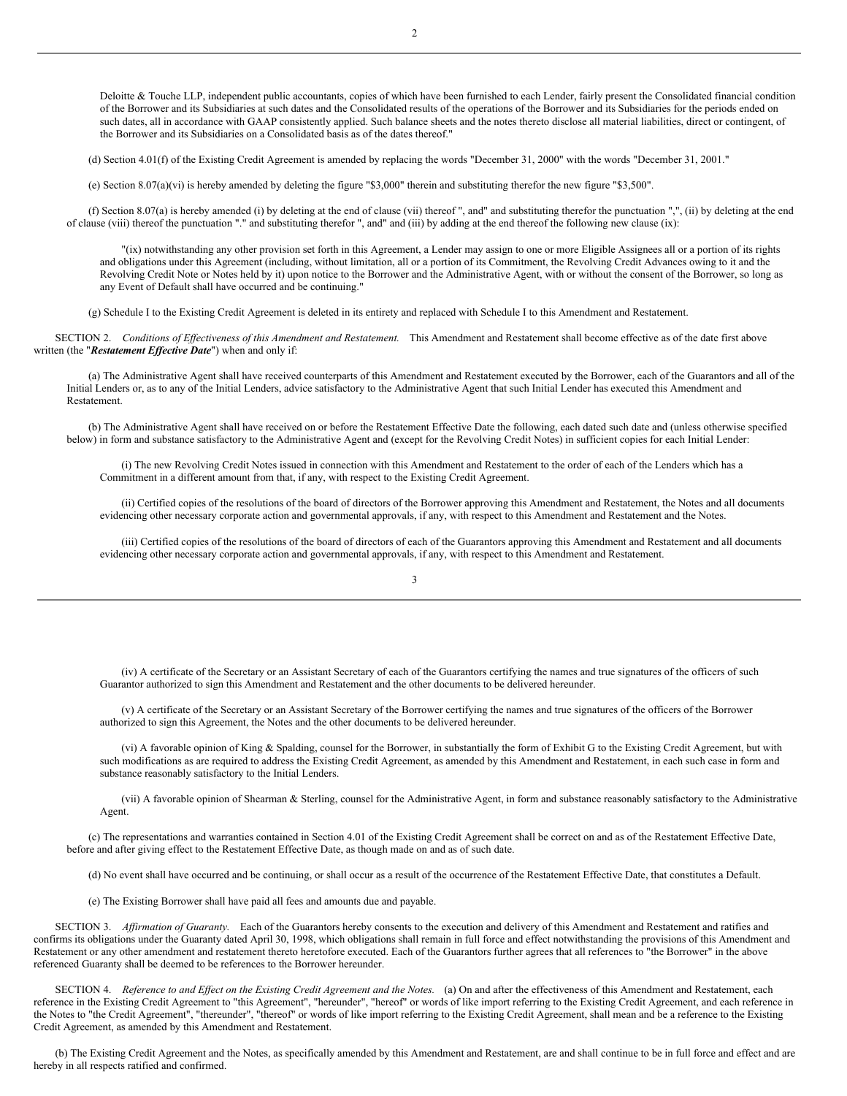Deloitte & Touche LLP, independent public accountants, copies of which have been furnished to each Lender, fairly present the Consolidated financial condition of the Borrower and its Subsidiaries at such dates and the Consolidated results of the operations of the Borrower and its Subsidiaries for the periods ended on such dates, all in accordance with GAAP consistently applied. Such balance sheets and the notes thereto disclose all material liabilities, direct or contingent, of the Borrower and its Subsidiaries on a Consolidated basis as of the dates thereof."

(d) Section 4.01(f) of the Existing Credit Agreement is amended by replacing the words "December 31, 2000" with the words "December 31, 2001."

(e) Section 8.07(a)(vi) is hereby amended by deleting the figure "\$3,000" therein and substituting therefor the new figure "\$3,500".

(f) Section 8.07(a) is hereby amended (i) by deleting at the end of clause (vii) thereof ", and" and substituting therefor the punctuation ",", (ii) by deleting at the end of clause (viii) thereof the punctuation "." and substituting therefor ", and" and (iii) by adding at the end thereof the following new clause (ix):

"(ix) notwithstanding any other provision set forth in this Agreement, a Lender may assign to one or more Eligible Assignees all or a portion of its rights and obligations under this Agreement (including, without limitation, all or a portion of its Commitment, the Revolving Credit Advances owing to it and the Revolving Credit Note or Notes held by it) upon notice to the Borrower and the Administrative Agent, with or without the consent of the Borrower, so long as any Event of Default shall have occurred and be continuing."

(g) Schedule I to the Existing Credit Agreement is deleted in its entirety and replaced with Schedule I to this Amendment and Restatement.

SECTION 2. *Conditions of Ef ectiveness of this Amendment and Restatement.* This Amendment and Restatement shall become effective as of the date first above written (the "*Restatement Effective Date*") when and only if:

(a) The Administrative Agent shall have received counterparts of this Amendment and Restatement executed by the Borrower, each of the Guarantors and all of the Initial Lenders or, as to any of the Initial Lenders, advice satisfactory to the Administrative Agent that such Initial Lender has executed this Amendment and Restatement.

(b) The Administrative Agent shall have received on or before the Restatement Effective Date the following, each dated such date and (unless otherwise specified below) in form and substance satisfactory to the Administrative Agent and (except for the Revolving Credit Notes) in sufficient copies for each Initial Lender:

(i) The new Revolving Credit Notes issued in connection with this Amendment and Restatement to the order of each of the Lenders which has a Commitment in a different amount from that, if any, with respect to the Existing Credit Agreement.

(ii) Certified copies of the resolutions of the board of directors of the Borrower approving this Amendment and Restatement, the Notes and all documents evidencing other necessary corporate action and governmental approvals, if any, with respect to this Amendment and Restatement and the Notes.

(iii) Certified copies of the resolutions of the board of directors of each of the Guarantors approving this Amendment and Restatement and all documents evidencing other necessary corporate action and governmental approvals, if any, with respect to this Amendment and Restatement.

(iv) A certificate of the Secretary or an Assistant Secretary of each of the Guarantors certifying the names and true signatures of the officers of such Guarantor authorized to sign this Amendment and Restatement and the other documents to be delivered hereunder.

(v) A certificate of the Secretary or an Assistant Secretary of the Borrower certifying the names and true signatures of the officers of the Borrower authorized to sign this Agreement, the Notes and the other documents to be delivered hereunder.

(vi) A favorable opinion of King & Spalding, counsel for the Borrower, in substantially the form of Exhibit G to the Existing Credit Agreement, but with such modifications as are required to address the Existing Credit Agreement, as amended by this Amendment and Restatement, in each such case in form and substance reasonably satisfactory to the Initial Lenders.

(vii) A favorable opinion of Shearman & Sterling, counsel for the Administrative Agent, in form and substance reasonably satisfactory to the Administrative Agent.

(c) The representations and warranties contained in Section 4.01 of the Existing Credit Agreement shall be correct on and as of the Restatement Effective Date, before and after giving effect to the Restatement Effective Date, as though made on and as of such date.

(d) No event shall have occurred and be continuing, or shall occur as a result of the occurrence of the Restatement Effective Date, that constitutes a Default.

(e) The Existing Borrower shall have paid all fees and amounts due and payable.

SECTION 3. *Affirmation of Guaranty*. Each of the Guarantors hereby consents to the execution and delivery of this Amendment and Restatement and ratifies and confirms its obligations under the Guaranty dated April 30, 1998, which obligations shall remain in full force and effect notwithstanding the provisions of this Amendment and Restatement or any other amendment and restatement thereto heretofore executed. Each of the Guarantors further agrees that all references to "the Borrower" in the above referenced Guaranty shall be deemed to be references to the Borrower hereunder.

SECTION 4. Reference to and Effect on the Existing Credit Agreement and the Notes. (a) On and after the effectiveness of this Amendment and Restatement, each reference in the Existing Credit Agreement to "this Agreement", "hereunder", "hereof" or words of like import referring to the Existing Credit Agreement, and each reference in the Notes to "the Credit Agreement", "thereunder", "thereof" or words of like import referring to the Existing Credit Agreement, shall mean and be a reference to the Existing Credit Agreement, as amended by this Amendment and Restatement.

(b) The Existing Credit Agreement and the Notes, as specifically amended by this Amendment and Restatement, are and shall continue to be in full force and effect and are hereby in all respects ratified and confirmed.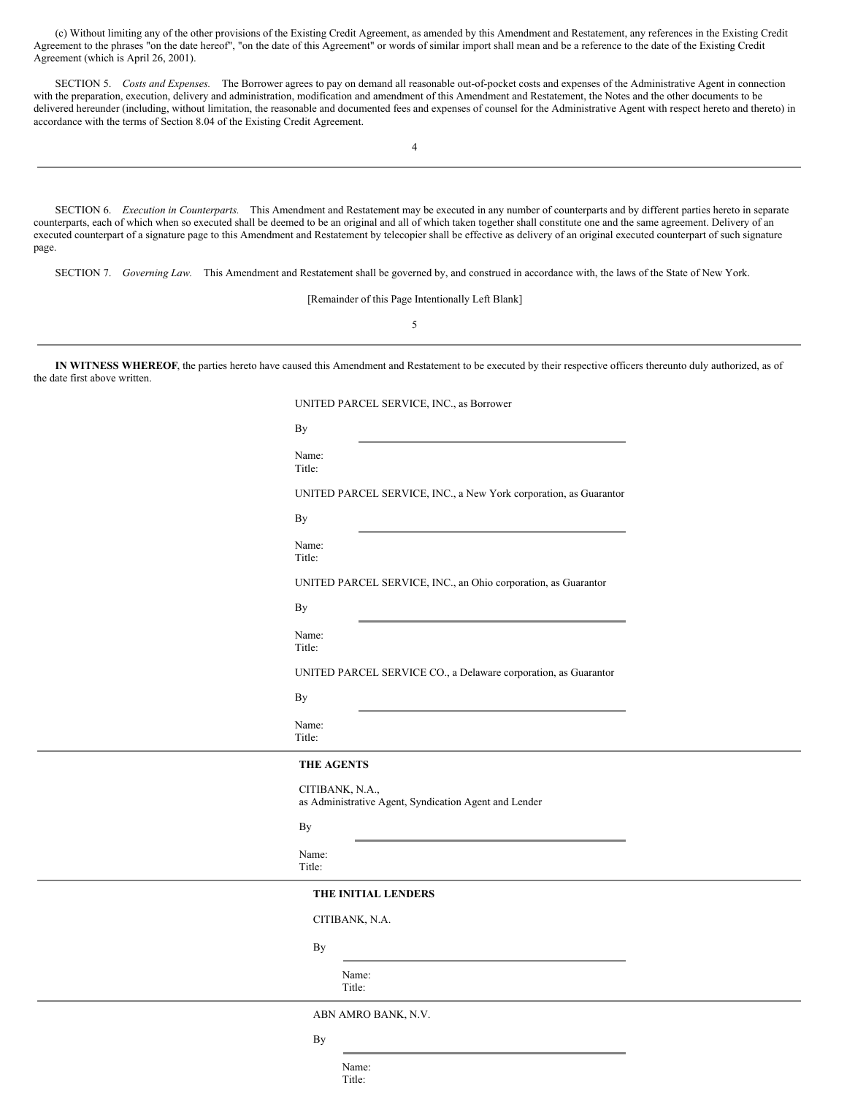(c) Without limiting any of the other provisions of the Existing Credit Agreement, as amended by this Amendment and Restatement, any references in the Existing Credit Agreement to the phrases "on the date hereof", "on the date of this Agreement" or words of similar import shall mean and be a reference to the date of the Existing Credit Agreement (which is April 26, 2001).

SECTION 5. *Costs and Expenses.* The Borrower agrees to pay on demand all reasonable out-of-pocket costs and expenses of the Administrative Agent in connection with the preparation, execution, delivery and administration, modification and amendment of this Amendment and Restatement, the Notes and the other documents to be delivered hereunder (including, without limitation, the reasonable and documented fees and expenses of counsel for the Administrative Agent with respect hereto and thereto) in accordance with the terms of Section 8.04 of the Existing Credit Agreement.

4

SECTION 6. *Execution in Counterparts.* This Amendment and Restatement may be executed in any number of counterparts and by different parties hereto in separate counterparts, each of which when so executed shall be deemed to be an original and all of which taken together shall constitute one and the same agreement. Delivery of an executed counterpart of a signature page to this Amendment and Restatement by telecopier shall be effective as delivery of an original executed counterpart of such signature page.

SECTION 7. *Governing Law.* This Amendment and Restatement shall be governed by, and construed in accordance with, the laws of the State of New York.

[Remainder of this Page Intentionally Left Blank]

5

**IN WITNESS WHEREOF**, the parties hereto have caused this Amendment and Restatement to be executed by their respective officers thereunto duly authorized, as of the date first above written.

| UNITED PARCEL SERVICE, INC., as Borrower                          |
|-------------------------------------------------------------------|
| By                                                                |
| Name:<br>Title:                                                   |
| UNITED PARCEL SERVICE, INC., a New York corporation, as Guarantor |
| By                                                                |
| Name:<br>Title:                                                   |
| UNITED PARCEL SERVICE, INC., an Ohio corporation, as Guarantor    |
| By                                                                |
| Name:<br>Title:                                                   |
| UNITED PARCEL SERVICE CO., a Delaware corporation, as Guarantor   |
| By                                                                |
| Name:<br>Title:                                                   |
| <b>THE AGENTS</b>                                                 |
| CITIBANK, N.A.,                                                   |

as Administrative Agent, Syndication Agent and Lender

## By

Name:

Title:

#### **THE INITIAL LENDERS**

CITIBANK, N.A.

By

Name: Title:

ABN AMRO BANK, N.V.

| I |  |
|---|--|

Name: Title: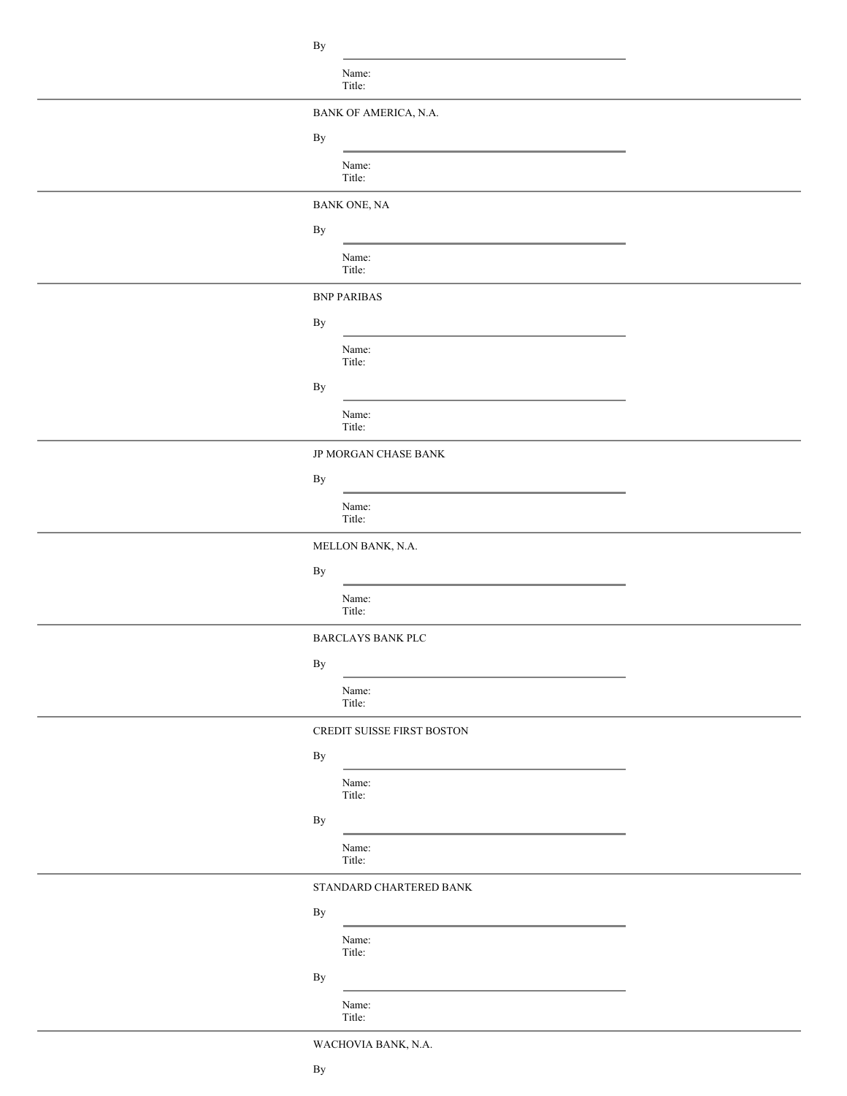| Вy |  |
|----|--|
|    |  |

Name: Title: BANK OF AMERICA, N.A. By Name: Title: BANK ONE, NA By Name: Title: BNP PARIBAS By Name: Title: By Name: Title: JP MORGAN CHASE BANK By Name: Title: MELLON BANK, N.A. By Name: Title: BARCLAYS BANK PLC By Name: Title: CREDIT SUISSE FIRST BOSTON By Name: Title: By Name: Title: STANDARD CHARTERED BANK By Name: Title: By Name:

Title:

WACHOVIA BANK, N.A.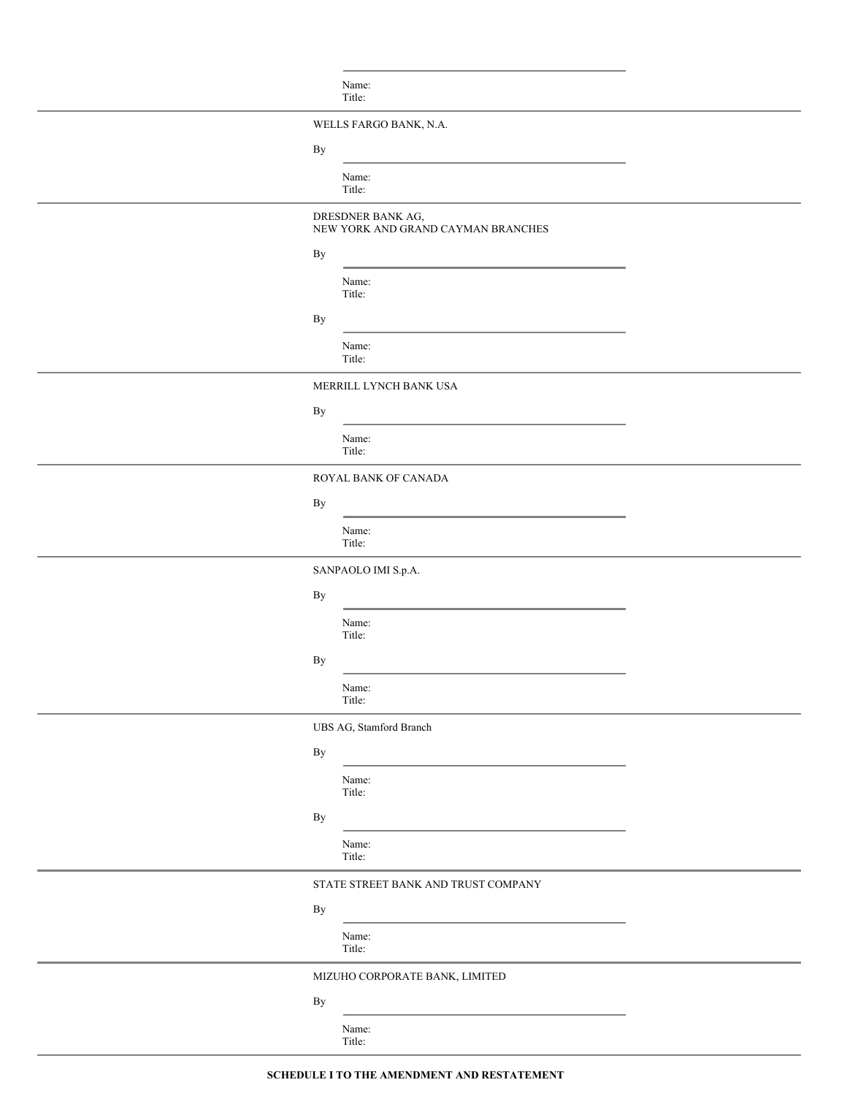|                        | Name:<br>Title:                                         |  |
|------------------------|---------------------------------------------------------|--|
|                        | WELLS FARGO BANK, N.A.                                  |  |
| $\mathbf{B}\mathbf{y}$ |                                                         |  |
|                        | Name:<br>Title:                                         |  |
|                        | DRESDNER BANK AG,<br>NEW YORK AND GRAND CAYMAN BRANCHES |  |
| $\mathbf{B}\mathbf{y}$ |                                                         |  |
|                        | Name:<br>Title:                                         |  |
| $\mathbf{B}\mathbf{y}$ |                                                         |  |
|                        | Name:<br>Title:                                         |  |
|                        | MERRILL LYNCH BANK USA                                  |  |
| $\mathbf{B}\mathbf{y}$ |                                                         |  |
|                        | Name:<br>Title:                                         |  |
|                        | ROYAL BANK OF CANADA                                    |  |
| By                     |                                                         |  |
|                        | Name:<br>Title:                                         |  |
|                        | SANPAOLO IMI S.p.A.                                     |  |
| By                     |                                                         |  |
|                        | Name:<br>Title:                                         |  |
| $\mathbf{B}\mathbf{y}$ |                                                         |  |
|                        | Name:<br>Title:                                         |  |
|                        | UBS AG, Stamford Branch                                 |  |
| $\mathbf{B}\mathbf{y}$ |                                                         |  |
|                        | Name:<br>Title:                                         |  |
| $\mathbf{B}\mathbf{y}$ |                                                         |  |
|                        | Name:<br>Title:                                         |  |
|                        | STATE STREET BANK AND TRUST COMPANY                     |  |
| $\mathbf{B}\mathbf{y}$ |                                                         |  |
|                        | Name:<br>Title:                                         |  |
|                        | MIZUHO CORPORATE BANK, LIMITED                          |  |
| By                     |                                                         |  |
|                        | Name:<br>Title:                                         |  |
|                        |                                                         |  |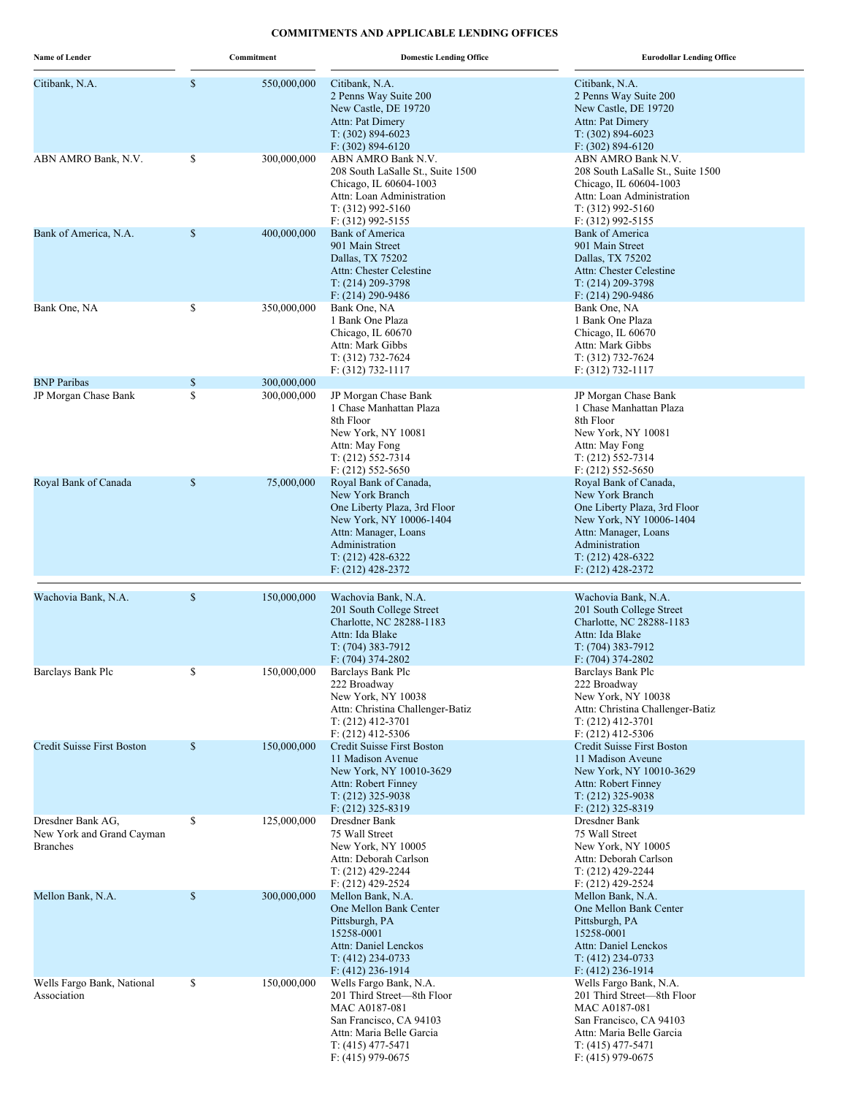# **COMMITMENTS AND APPLICABLE LENDING OFFICES**

| <b>Name of Lender</b>                                             | Commitment        | <b>Domestic Lending Office</b>                                                                                                                                                              | <b>Eurodollar Lending Office</b>                                                                                                                                                            |
|-------------------------------------------------------------------|-------------------|---------------------------------------------------------------------------------------------------------------------------------------------------------------------------------------------|---------------------------------------------------------------------------------------------------------------------------------------------------------------------------------------------|
| Citibank, N.A.                                                    | \$<br>550,000,000 | Citibank, N.A.<br>2 Penns Way Suite 200<br>New Castle, DE 19720<br>Attn: Pat Dimery<br>$T: (302) 894-6023$<br>$F: (302) 894-6120$                                                           | Citibank, N.A.<br>2 Penns Way Suite 200<br>New Castle, DE 19720<br>Attn: Pat Dimery<br>$T: (302) 894-6023$<br>$F: (302) 894-6120$                                                           |
| ABN AMRO Bank, N.V.                                               | \$<br>300,000,000 | ABN AMRO Bank N.V.<br>208 South LaSalle St., Suite 1500<br>Chicago, IL 60604-1003<br>Attn: Loan Administration<br>$T: (312)$ 992-5160<br>$F: (312)$ 992-5155                                | ABN AMRO Bank N.V.<br>208 South LaSalle St., Suite 1500<br>Chicago, IL 60604-1003<br>Attn: Loan Administration<br>$T: (312)$ 992-5160<br>$F: (312)$ 992-5155                                |
| Bank of America, N.A.                                             | \$<br>400,000,000 | <b>Bank of America</b><br>901 Main Street<br>Dallas, TX 75202<br>Attn: Chester Celestine<br>$T: (214) 209 - 3798$<br>$F: (214) 290 - 9486$                                                  | Bank of America<br>901 Main Street<br>Dallas, TX 75202<br>Attn: Chester Celestine<br>$T: (214) 209 - 3798$<br>$F: (214) 290 - 9486$                                                         |
| Bank One, NA                                                      | \$<br>350,000,000 | Bank One, NA<br>1 Bank One Plaza<br>Chicago, IL 60670<br>Attn: Mark Gibbs<br>$T: (312) 732 - 7624$<br>$F: (312) 732 - 1117$                                                                 | Bank One, NA<br>1 Bank One Plaza<br>Chicago, IL 60670<br>Attn: Mark Gibbs<br>$T: (312) 732 - 7624$<br>$F: (312) 732 - 1117$                                                                 |
| <b>BNP</b> Paribas                                                | \$<br>300,000,000 |                                                                                                                                                                                             |                                                                                                                                                                                             |
| JP Morgan Chase Bank                                              | \$<br>300,000,000 | JP Morgan Chase Bank<br>1 Chase Manhattan Plaza<br>8th Floor<br>New York, NY 10081<br>Attn: May Fong<br>$T: (212) 552 - 7314$<br>$F: (212) 552 - 5650$                                      | JP Morgan Chase Bank<br>1 Chase Manhattan Plaza<br>8th Floor<br>New York, NY 10081<br>Attn: May Fong<br>$T: (212) 552 - 7314$<br>$F: (212) 552 - 5650$                                      |
| Royal Bank of Canada                                              | \$<br>75,000,000  | Royal Bank of Canada,<br>New York Branch<br>One Liberty Plaza, 3rd Floor<br>New York, NY 10006-1404<br>Attn: Manager, Loans<br>Administration<br>$T: (212)$ 428-6322<br>$F: (212)$ 428-2372 | Royal Bank of Canada,<br>New York Branch<br>One Liberty Plaza, 3rd Floor<br>New York, NY 10006-1404<br>Attn: Manager, Loans<br>Administration<br>$T: (212)$ 428-6322<br>$F: (212)$ 428-2372 |
|                                                                   |                   |                                                                                                                                                                                             |                                                                                                                                                                                             |
| Wachovia Bank, N.A.                                               | \$<br>150,000,000 | Wachovia Bank, N.A.<br>201 South College Street<br>Charlotte, NC 28288-1183<br>Attn: Ida Blake<br>$T: (704)$ 383-7912<br>$F: (704)$ 374-2802                                                | Wachovia Bank, N.A.<br>201 South College Street<br>Charlotte, NC 28288-1183<br>Attn: Ida Blake<br>$T: (704)$ 383-7912<br>$F: (704)$ 374-2802                                                |
| Barclays Bank Plc                                                 | 150,000,000<br>\$ | <b>Barclays Bank Plc</b><br>222 Broadway<br>New York, NY 10038<br>Attn: Christina Challenger-Batiz<br>$T: (212)$ 412-3701<br>$F: (212)$ 412-5306                                            | Barclays Bank Plc<br>222 Broadway<br>New York, NY 10038<br>Attn: Christina Challenger-Batiz<br>$T: (212)$ 412-3701<br>$F: (212)$ 412-5306                                                   |
| <b>Credit Suisse First Boston</b>                                 | \$<br>150,000,000 | Credit Suisse First Boston<br>11 Madison Avenue<br>New York, NY 10010-3629<br>Attn: Robert Finney<br>$T: (212)$ 325-9038<br>$F: (212)$ 325-8319                                             | Credit Suisse First Boston<br>11 Madison Aveune<br>New York, NY 10010-3629<br>Attn: Robert Finney<br>$T: (212)$ 325-9038<br>$F: (212)$ 325-8319                                             |
| Dresdner Bank AG,<br>New York and Grand Cayman<br><b>Branches</b> | \$<br>125,000,000 | Dresdner Bank<br>75 Wall Street<br>New York, NY 10005<br>Attn: Deborah Carlson<br>$T: (212)$ 429-2244<br>$F: (212)$ 429-2524                                                                | Dresdner Bank<br>75 Wall Street<br>New York, NY 10005<br>Attn: Deborah Carlson<br>$T: (212)$ 429-2244<br>$F: (212)$ 429-2524                                                                |
| Mellon Bank, N.A.                                                 | \$<br>300,000,000 | Mellon Bank, N.A.<br>One Mellon Bank Center<br>Pittsburgh, PA<br>15258-0001<br>Attn: Daniel Lenckos<br>$T: (412)$ 234-0733<br>$F: (412)$ 236-1914                                           | Mellon Bank, N.A.<br>One Mellon Bank Center<br>Pittsburgh, PA<br>15258-0001<br>Attn: Daniel Lenckos<br>$T: (412)$ 234-0733<br>$F: (412)$ 236-1914                                           |
| Wells Fargo Bank, National<br>Association                         | \$<br>150,000,000 | Wells Fargo Bank, N.A.<br>201 Third Street-8th Floor<br>MAC A0187-081<br>San Francisco, CA 94103<br>Attn: Maria Belle Garcia<br>$T: (415)$ 477-5471<br>$F: (415)$ 979-0675                  | Wells Fargo Bank, N.A.<br>201 Third Street-8th Floor<br>MAC A0187-081<br>San Francisco, CA 94103<br>Attn: Maria Belle Garcia<br>$T: (415)$ 477-5471<br>$F: (415)$ 979-0675                  |